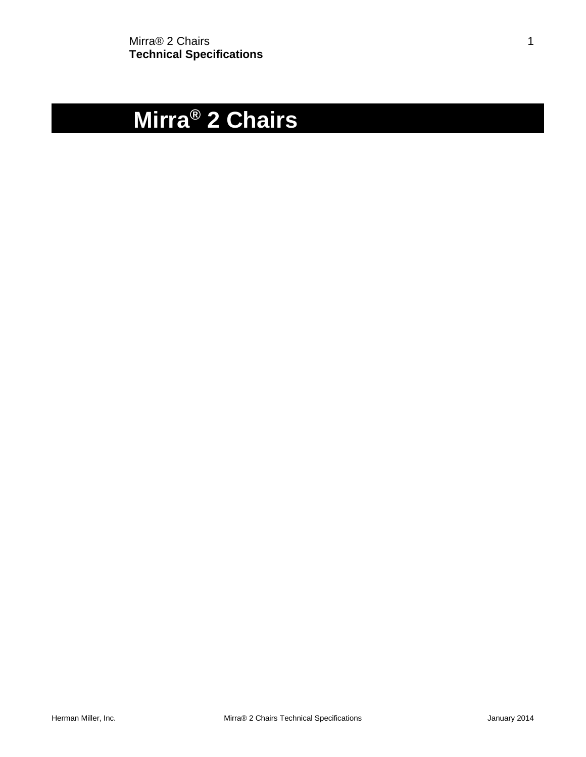# **Mirra® 2 Chairs**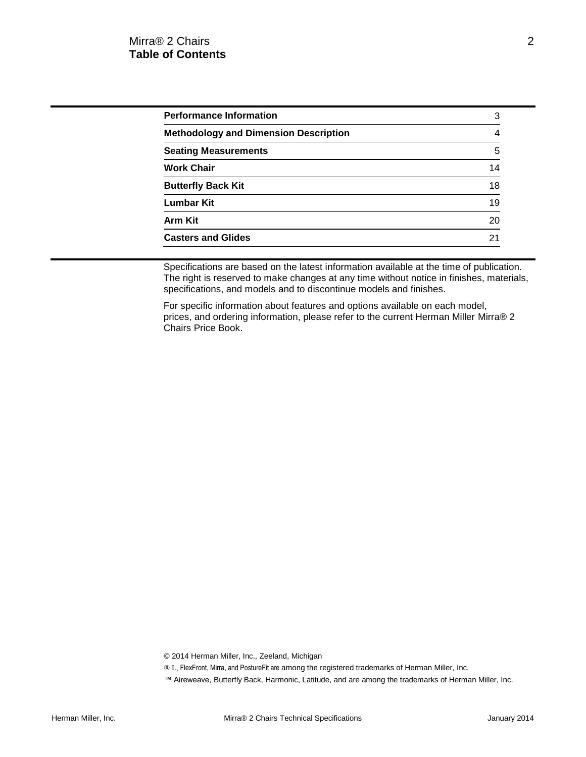| <b>Performance Information</b>               | З  |
|----------------------------------------------|----|
| <b>Methodology and Dimension Description</b> | 4  |
| <b>Seating Measurements</b>                  | 5  |
| <b>Work Chair</b>                            | 14 |
| <b>Butterfly Back Kit</b>                    | 18 |
| Lumbar Kit                                   | 19 |
| <b>Arm Kit</b>                               | 20 |
| <b>Casters and Glides</b>                    | 21 |

Specifications are based on the latest information available at the time of publication. The right is reserved to make changes at any time without notice in finishes, materials, specifications, and models and to discontinue models and finishes.

For specific information about features and options available on each model, prices, and ordering information, please refer to the current Herman Miller Mirra® 2 Chairs Price Book.

© 2014 Herman Miller, Inc., Zeeland, Michigan

- ® L, FlexFront, Mirra, and PostureFit are among the registered trademarks of Herman Miller, Inc.
- ™ Aireweave, Butterfly Back, Harmonic, Latitude, and are among the trademarks of Herman Miller, Inc.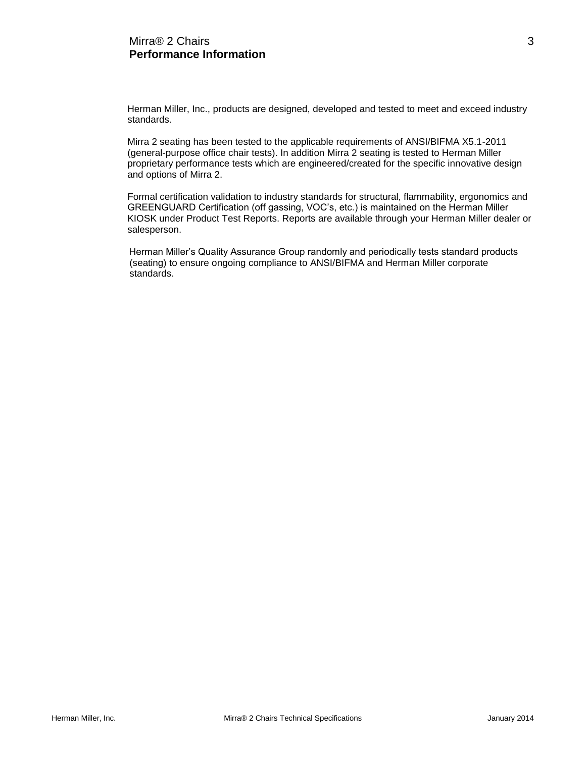Herman Miller, Inc., products are designed, developed and tested to meet and exceed industry standards.

Mirra 2 seating has been tested to the applicable requirements of ANSI/BIFMA X5.1-2011 (general-purpose office chair tests). In addition Mirra 2 seating is tested to Herman Miller proprietary performance tests which are engineered/created for the specific innovative design and options of Mirra 2.

Formal certification validation to industry standards for structural, flammability, ergonomics and GREENGUARD Certification (off gassing, VOC's, etc.) is maintained on the Herman Miller KIOSK under Product Test Reports. Reports are available through your Herman Miller dealer or salesperson.

Herman Miller's Quality Assurance Group randomly and periodically tests standard products (seating) to ensure ongoing compliance to ANSI/BIFMA and Herman Miller corporate standards.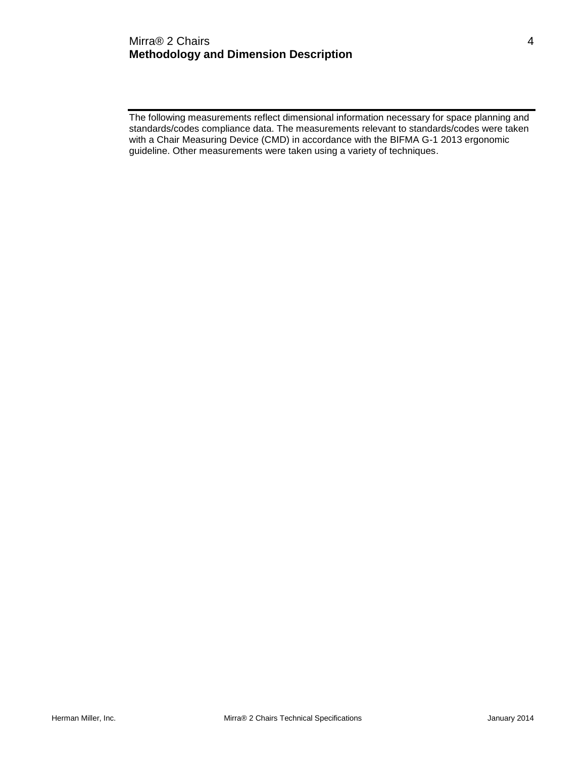## Mirra® 2 Chairs 4 **Methodology and Dimension Description**

The following measurements reflect dimensional information necessary for space planning and standards/codes compliance data. The measurements relevant to standards/codes were taken with a Chair Measuring Device (CMD) in accordance with the BIFMA G-1 2013 ergonomic guideline. Other measurements were taken using a variety of techniques.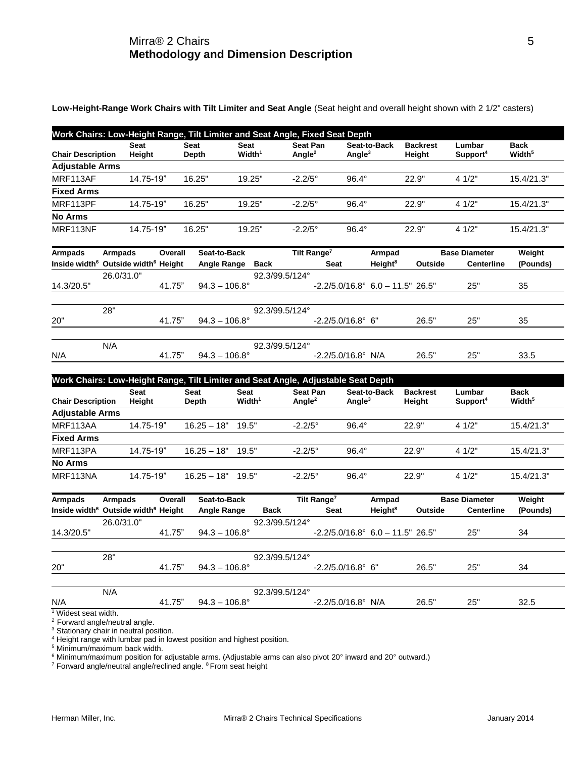**Low-Height-Range Work Chairs with Tilt Limiter and Seat Angle** (Seat height and overall height shown with 2 1/2" casters)

|                          | <b>Seat</b> | <b>Seat</b> | Seat                  | <b>Seat Pan</b>  | Seat-to-Back | <b>Backrest</b> | Lumbar               | <b>Back</b>        |
|--------------------------|-------------|-------------|-----------------------|------------------|--------------|-----------------|----------------------|--------------------|
| <b>Chair Description</b> | Height      | Depth       | $W$ idth <sup>1</sup> | Angle $2$        | Angle $3$    | Height          | Support <sup>4</sup> | Width <sup>5</sup> |
| <b>Adjustable Arms</b>   |             |             |                       |                  |              |                 |                      |                    |
| MRF113AF                 | 14.75-19"   | 16.25"      | 19.25"                | $-2.2/5^{\circ}$ | $96.4^\circ$ | 22.9"           | 4 1/2"               | 15.4/21.3"         |
| <b>Fixed Arms</b>        |             |             |                       |                  |              |                 |                      |                    |
| MRF113PF                 | 14.75-19"   | 16.25"      | 19.25"                | $-2.2/5^{\circ}$ | $96.4^\circ$ | 22.9"           | 4 1/2"               | 15.4/21.3"         |
| <b>No Arms</b>           |             |             |                       |                  |              |                 |                      |                    |
| MRF113NF                 | 14.75-19"   | 16.25"      | 19.25"                | $-2.2/5^{\circ}$ | $96.4^\circ$ | 22.9"           | 41/2"                | 15.4/21.3"         |

| Armpads    | <b>Armpads</b>                                              | Overall | Seat-to-Back           |                | Tilt Range <sup>7</sup>                           | Armpad              |         | <b>Base Diameter</b> | Weight   |
|------------|-------------------------------------------------------------|---------|------------------------|----------------|---------------------------------------------------|---------------------|---------|----------------------|----------|
|            | Inside width <sup>6</sup> Outside width <sup>6</sup> Height |         | Angle Range            | Back           | <b>Seat</b>                                       | Height <sup>8</sup> | Outside | <b>Centerline</b>    | (Pounds) |
|            | 26.0/31.0"                                                  |         |                        | 92.3/99.5/124° |                                                   |                     |         |                      |          |
| 14.3/20.5" |                                                             | 41.75"  | $94.3 - 106.8^{\circ}$ |                | $-2.2/5.0/16.8^{\circ}$ 6.0 $-11.5^{\circ}$ 26.5" |                     |         | 25"                  | 35       |
|            |                                                             |         |                        |                |                                                   |                     |         |                      |          |
|            | 28"                                                         |         |                        | 92.3/99.5/124° |                                                   |                     |         |                      |          |
| 20"        |                                                             | 41.75"  | $94.3 - 106.8^{\circ}$ |                | $-2.2/5.0/16.8^{\circ}$ 6"                        |                     | 26.5"   | 25"                  | 35       |
|            |                                                             |         |                        |                |                                                   |                     |         |                      |          |
|            | N/A                                                         |         |                        | 92.3/99.5/124° |                                                   |                     |         |                      |          |
| N/A        |                                                             | 41.75"  | $94.3 - 106.8^{\circ}$ |                | $-2.2/5.0/16.8^{\circ}$ N/A                       |                     | 26.5"   | 25"                  | 33.5     |

| Work Chairs: Low-Height Range, Tilt Limiter and Seat Angle, Adjustable Seat Depth |                       |                      |                               |                              |                           |                           |                                |                                   |
|-----------------------------------------------------------------------------------|-----------------------|----------------------|-------------------------------|------------------------------|---------------------------|---------------------------|--------------------------------|-----------------------------------|
| <b>Chair Description</b>                                                          | <b>Seat</b><br>Heiaht | <b>Seat</b><br>Depth | Seat<br>$W$ idth <sup>1</sup> | <b>Seat Pan</b><br>Angle $2$ | Seat-to-Back<br>Angle $3$ | <b>Backrest</b><br>Heiaht | Lumbar<br>Support <sup>4</sup> | <b>Back</b><br>Width <sup>5</sup> |
| <b>Adjustable Arms</b>                                                            |                       |                      |                               |                              |                           |                           |                                |                                   |
| MRF113AA                                                                          | 14.75-19"             | $16.25 - 18"$        | 19.5"                         | $-2.2/5^{\circ}$             | $96.4^\circ$              | 22.9"                     | 41/2"                          | 15.4/21.3"                        |
| <b>Fixed Arms</b>                                                                 |                       |                      |                               |                              |                           |                           |                                |                                   |
| MRF113PA                                                                          | 14.75-19"             | $16.25 - 18"$        | 19.5"                         | $-2.2/5^{\circ}$             | $96.4^\circ$              | 22.9"                     | 41/2"                          | 15.4/21.3"                        |
| <b>No Arms</b>                                                                    |                       |                      |                               |                              |                           |                           |                                |                                   |
| MRF113NA                                                                          | 14.75-19"             | $16.25 - 18"$        | 19.5"                         | $-2.2/5^{\circ}$             | $96.4^\circ$              | 22.9"                     | 4 1/2"                         | 15.4/21.3"                        |

| Armpads                          | Armpads                                                     | Overall | Seat-to-Back           |                | Tilt Range <sup>7</sup>                           | Armpad              |         | <b>Base Diameter</b> | Weight   |
|----------------------------------|-------------------------------------------------------------|---------|------------------------|----------------|---------------------------------------------------|---------------------|---------|----------------------|----------|
|                                  | Inside width <sup>6</sup> Outside width <sup>6</sup> Height |         | <b>Angle Range</b>     | <b>Back</b>    | <b>Seat</b>                                       | Height <sup>8</sup> | Outside | <b>Centerline</b>    | (Pounds) |
|                                  | 26.0/31.0"                                                  |         |                        | 92.3/99.5/124° |                                                   |                     |         |                      |          |
| 14.3/20.5"                       |                                                             | 41.75"  | $94.3 - 106.8^{\circ}$ |                | $-2.2/5.0/16.8^{\circ}$ 6.0 $-11.5^{\circ}$ 26.5" |                     |         | 25"                  | 34       |
|                                  |                                                             |         |                        |                |                                                   |                     |         |                      |          |
|                                  | 28"                                                         |         |                        | 92.3/99.5/124° |                                                   |                     |         |                      |          |
| 20"                              |                                                             | 41.75"  | $94.3 - 106.8^{\circ}$ |                | $-2.2/5.0/16.8^{\circ}$ 6"                        |                     | 26.5"   | 25"                  | 34       |
|                                  |                                                             |         |                        |                |                                                   |                     |         |                      |          |
| N/A                              | N/A                                                         | 41.75"  | $94.3 - 106.8^{\circ}$ | 92.3/99.5/124° | $-2.2/5.0/16.8^{\circ}$ N/A                       |                     | 26.5"   | 25"                  | 32.5     |
| $\sqrt[1]{1}$ Widest seat width. |                                                             |         |                        |                |                                                   |                     |         |                      |          |

<sup>2</sup> Forward angle/neutral angle. <sup>3</sup> Stationary chair in neutral position.

<sup>4</sup> Height range with lumbar pad in lowest position and highest position.

<sup>5</sup> Minimum/maximum back width.

<sup>6</sup> Minimum/maximum position for adjustable arms. (Adjustable arms can also pivot 20° inward and 20° outward.)

<sup>7</sup> Forward angle/neutral angle/reclined angle. <sup>8</sup>From seat height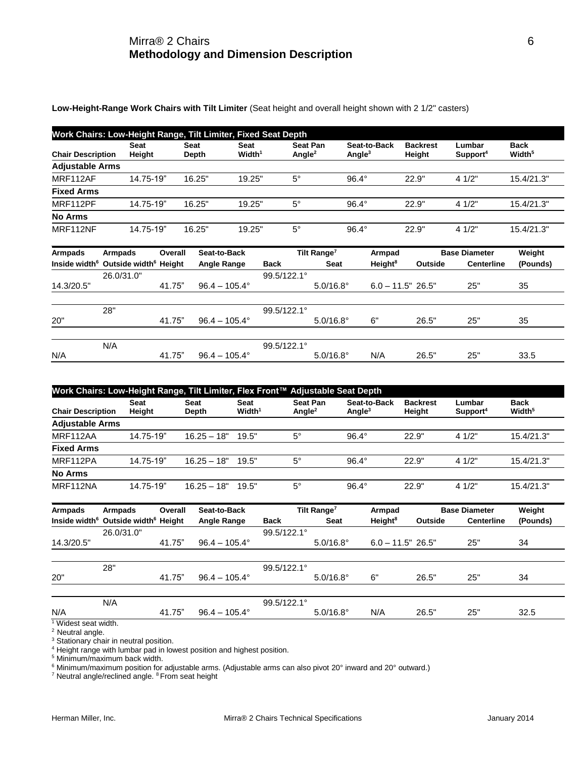## Mirra® 2 Chairs 6 **Methodology and Dimension Description**

**Low-Height-Range Work Chairs with Tilt Limiter** (Seat height and overall height shown with 2 1/2" casters)

|                          | Work Chairs: Low-Height Range, Tilt Limiter, Fixed Seat Depth |                      |                            |                                |                           |                           |                                |                                   |  |  |  |  |  |
|--------------------------|---------------------------------------------------------------|----------------------|----------------------------|--------------------------------|---------------------------|---------------------------|--------------------------------|-----------------------------------|--|--|--|--|--|
| <b>Chair Description</b> | <b>Seat</b><br>Height                                         | <b>Seat</b><br>Depth | Seat<br>Width <sup>1</sup> | Seat Pan<br>Angle <sup>2</sup> | Seat-to-Back<br>Angle $3$ | <b>Backrest</b><br>Height | Lumbar<br>Support <sup>4</sup> | <b>Back</b><br>Width <sup>5</sup> |  |  |  |  |  |
| <b>Adjustable Arms</b>   |                                                               |                      |                            |                                |                           |                           |                                |                                   |  |  |  |  |  |
| MRF112AF                 | 14.75-19"                                                     | 16.25"               | 19.25"                     | $5^{\circ}$                    | $96.4^\circ$              | 22.9"                     | 41/2"                          | 15.4/21.3"                        |  |  |  |  |  |
| <b>Fixed Arms</b>        |                                                               |                      |                            |                                |                           |                           |                                |                                   |  |  |  |  |  |
| MRF112PF                 | 14.75-19"                                                     | 16.25"               | 19.25"                     | $5^\circ$                      | $96.4^\circ$              | 22.9"                     | 4 1/2"                         | 15.4/21.3"                        |  |  |  |  |  |
| <b>No Arms</b>           |                                                               |                      |                            |                                |                           |                           |                                |                                   |  |  |  |  |  |
| MRF112NF                 | 14.75-19"                                                     | 16.25"               | 19.25"                     | $5^\circ$                      | $96.4^{\circ}$            | 22.9"                     | 4 1/2"                         | 15.4/21.3"                        |  |  |  |  |  |

| Armpads    | <b>Armpads</b>                                              | Overall | Seat-to-Back           |                      | Tilt Range <sup>7</sup> | Armpad              |         | <b>Base Diameter</b> | Weight   |
|------------|-------------------------------------------------------------|---------|------------------------|----------------------|-------------------------|---------------------|---------|----------------------|----------|
|            | Inside width <sup>6</sup> Outside width <sup>6</sup> Height |         | <b>Angle Range</b>     | <b>Back</b>          | <b>Seat</b>             | Height <sup>8</sup> | Outside | <b>Centerline</b>    | (Pounds) |
|            | 26.0/31.0"                                                  |         |                        | 99.5/122.1°          |                         |                     |         |                      |          |
| 14.3/20.5" |                                                             | 41.75"  | $96.4 - 105.4^{\circ}$ |                      | $5.0/16.8^{\circ}$      | $6.0 - 11.5" 26.5"$ |         | 25"                  | 35       |
|            |                                                             |         |                        |                      |                         |                     |         |                      |          |
|            | 28"                                                         |         |                        | $99.5/122.1^{\circ}$ |                         |                     |         |                      |          |
| 20"        |                                                             | 41.75"  | $96.4 - 105.4^{\circ}$ |                      | $5.0/16.8^{\circ}$      | 6"                  | 26.5"   | 25"                  | 35       |
|            |                                                             |         |                        |                      |                         |                     |         |                      |          |
|            | N/A                                                         |         |                        | 99.5/122.1°          |                         |                     |         |                      |          |
| N/A        |                                                             | 41.75"  | $96.4 - 105.4^{\circ}$ |                      | $5.0/16.8^{\circ}$      | N/A                 | 26.5"   | 25"                  | 33.5     |

|                          | Work Chairs: Low-Height Range, Tilt Limiter, Flex Front™ Adjustable Seat Depth |               |                            |                              |                           |                           |                                |                                   |  |  |  |  |  |
|--------------------------|--------------------------------------------------------------------------------|---------------|----------------------------|------------------------------|---------------------------|---------------------------|--------------------------------|-----------------------------------|--|--|--|--|--|
| <b>Chair Description</b> | <b>Seat</b><br>Height                                                          | Seat<br>Depth | Seat<br>Width <sup>1</sup> | <b>Seat Pan</b><br>Angle $2$ | Seat-to-Back<br>Angle $3$ | <b>Backrest</b><br>Height | Lumbar<br>Support <sup>4</sup> | <b>Back</b><br>Width <sup>5</sup> |  |  |  |  |  |
| <b>Adjustable Arms</b>   |                                                                                |               |                            |                              |                           |                           |                                |                                   |  |  |  |  |  |
| MRF112AA                 | 14.75-19"                                                                      | $16.25 - 18"$ | 19.5"                      | $5^\circ$                    | $96.4^\circ$              | 22.9"                     | 41/2"                          | 15.4/21.3"                        |  |  |  |  |  |
| <b>Fixed Arms</b>        |                                                                                |               |                            |                              |                           |                           |                                |                                   |  |  |  |  |  |
| MRF112PA                 | 14.75-19"                                                                      | $16.25 - 18"$ | 19.5"                      | $5^{\circ}$                  | $96.4^\circ$              | 22.9"                     | 41/2"                          | 15.4/21.3"                        |  |  |  |  |  |
| <b>No Arms</b>           |                                                                                |               |                            |                              |                           |                           |                                |                                   |  |  |  |  |  |
| MRF112NA                 | 14.75-19"                                                                      | $16.25 - 18"$ | 19.5"                      | $5^{\circ}$                  | $96.4^\circ$              | 22.9"                     | 41/2"                          | 15.4/21.3"                        |  |  |  |  |  |

| Armpads                         | Armpads                                                     | Overall | Seat-to-Back           |                      | Tilt Range <sup>7</sup> | Armpad              |         | <b>Base Diameter</b> | Weight   |
|---------------------------------|-------------------------------------------------------------|---------|------------------------|----------------------|-------------------------|---------------------|---------|----------------------|----------|
|                                 | Inside width <sup>6</sup> Outside width <sup>6</sup> Height |         | Angle Range            | <b>Back</b>          | <b>Seat</b>             | Height <sup>8</sup> | Outside | <b>Centerline</b>    | (Pounds) |
|                                 | 26.0/31.0"                                                  |         |                        | 99.5/122.1°          |                         |                     |         |                      |          |
| 14.3/20.5"                      |                                                             | 41.75"  | $96.4 - 105.4^{\circ}$ |                      | $5.0/16.8^{\circ}$      | $6.0 - 11.5" 26.5"$ |         | 25"                  | 34       |
|                                 |                                                             |         |                        |                      |                         |                     |         |                      |          |
|                                 | 28"                                                         |         |                        | $99.5/122.1^{\circ}$ |                         |                     |         |                      |          |
| 20"                             |                                                             | 41.75"  | $96.4 - 105.4^{\circ}$ |                      | $5.0/16.8^{\circ}$      | 6"                  | 26.5"   | 25"                  | 34       |
|                                 |                                                             |         |                        |                      |                         |                     |         |                      |          |
|                                 | N/A                                                         |         |                        | $99.5/122.1^{\circ}$ |                         |                     |         |                      |          |
| N/A                             |                                                             | 41.75"  | $96.4 - 105.4^{\circ}$ |                      | $5.0/16.8^{\circ}$      | N/A                 | 26.5"   | 25"                  | 32.5     |
| <sup>1</sup> Widest seat width. |                                                             |         |                        |                      |                         |                     |         |                      |          |

<sup>2</sup> Neutral angle.

<sup>3</sup> Stationary chair in neutral position.

<sup>4</sup> Height range with lumbar pad in lowest position and highest position.

<sup>5</sup> Minimum/maximum back width.

 $^6$  Minimum/maximum position for adjustable arms. (Adjustable arms can also pivot 20° inward and 20° outward.)

<sup>7</sup> Neutral angle/reclined angle. <sup>8</sup> From seat height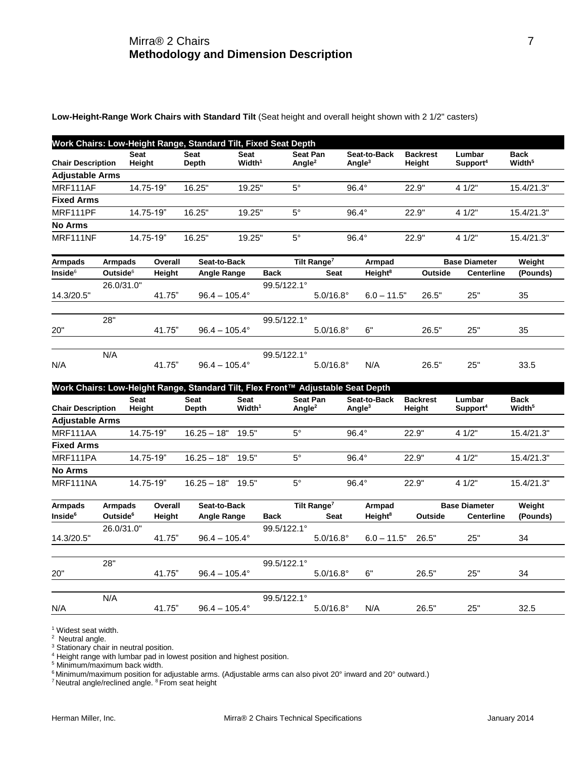## Mirra® 2 Chairs 7 **Methodology and Dimension Description**

**Low-Height-Range Work Chairs with Standard Tilt** (Seat height and overall height shown with 2 1/2" casters)

|                                       |                                        |                       | Work Chairs: Low-Height Range, Standard Tilt, Fixed Seat Depth                  |                                      |             |                                |                                        |                                    |                           |                                           |                                   |
|---------------------------------------|----------------------------------------|-----------------------|---------------------------------------------------------------------------------|--------------------------------------|-------------|--------------------------------|----------------------------------------|------------------------------------|---------------------------|-------------------------------------------|-----------------------------------|
| <b>Chair Description</b>              |                                        | Seat<br>Height        | <b>Seat</b><br><b>Depth</b>                                                     | <b>Seat</b><br>$W$ idth <sup>1</sup> |             | Seat Pan<br>Angle <sup>2</sup> |                                        | Seat-to-Back<br>Angle <sup>3</sup> | <b>Backrest</b><br>Height | Lumbar<br>Support <sup>4</sup>            | <b>Back</b><br>Width <sup>5</sup> |
| <b>Adjustable Arms</b>                |                                        |                       |                                                                                 |                                      |             |                                |                                        |                                    |                           |                                           |                                   |
| MRF111AF                              |                                        | 14.75-19"             | 16.25"                                                                          | 19.25"                               |             | $5^{\circ}$                    |                                        | $96.4^\circ$                       | 22.9"                     | 4 1/2"                                    | 15.4/21.3"                        |
| <b>Fixed Arms</b>                     |                                        |                       |                                                                                 |                                      |             |                                |                                        |                                    |                           |                                           |                                   |
| MRF111PF                              |                                        | 14.75-19"             | 16.25"                                                                          | 19.25"                               |             | $5^\circ$                      |                                        | $96.4^\circ$                       | 22.9"                     | 4 1/2"                                    | 15.4/21.3"                        |
| <b>No Arms</b>                        |                                        |                       |                                                                                 |                                      |             |                                |                                        |                                    |                           |                                           |                                   |
| MRF111NF                              |                                        | 14.75-19"             | 16.25"                                                                          | 19.25"                               |             | $5^{\circ}$                    |                                        | $96.4^\circ$                       | 22.9"                     | 4 1/2"                                    | 15.4/21.3"                        |
| <b>Armpads</b>                        | <b>Armpads</b>                         | Overall               | Seat-to-Back                                                                    |                                      |             |                                | Tilt Range <sup>7</sup>                | Armpad                             |                           | <b>Base Diameter</b>                      | Weight                            |
| Inside <sup>6</sup>                   | Outside <sup>6</sup>                   | Height                | Angle Range                                                                     |                                      | <b>Back</b> |                                | <b>Seat</b>                            | Height <sup>8</sup>                | Outside                   | <b>Centerline</b>                         | (Pounds)                          |
| 14.3/20.5"                            | 26.0/31.0"                             | 41.75"                | $96.4 - 105.4^{\circ}$                                                          |                                      | 99.5/122.1° |                                | $5.0/16.8^{\circ}$                     | $6.0 - 11.5"$                      | 26.5"                     | 25"                                       | 35                                |
|                                       | 28"                                    |                       |                                                                                 |                                      | 99.5/122.1° |                                |                                        |                                    |                           |                                           |                                   |
| 20"                                   |                                        | 41.75"                | $96.4 - 105.4^{\circ}$                                                          |                                      |             |                                | $5.0/16.8^{\circ}$                     | 6"                                 | 26.5"                     | 25"                                       | 35                                |
|                                       | N/A                                    |                       |                                                                                 |                                      | 99.5/122.1° |                                |                                        |                                    |                           |                                           |                                   |
| N/A                                   |                                        | 41.75"                | $96.4 - 105.4^{\circ}$                                                          |                                      |             |                                | $5.0/16.8^{\circ}$                     | N/A                                | 26.5"                     | 25"                                       | 33.5                              |
|                                       |                                        |                       | Work Chairs: Low-Height Range, Standard Tilt, Flex Front™ Adjustable Seat Depth |                                      |             |                                |                                        |                                    |                           |                                           |                                   |
| <b>Chair Description</b>              |                                        | <b>Seat</b><br>Height | <b>Seat</b><br>Depth                                                            | Seat<br>Width <sup>1</sup>           |             | Angle <sup>2</sup>             | Seat Pan                               | Seat-to-Back<br>Angle $3$          | <b>Backrest</b><br>Height | Lumbar<br>Support <sup>4</sup>            | <b>Back</b><br>Width <sup>5</sup> |
| <b>Adjustable Arms</b>                |                                        |                       |                                                                                 |                                      |             |                                |                                        |                                    |                           |                                           |                                   |
| MRF111AA                              |                                        | 14.75-19"             | $16.25 - 18"$                                                                   | 19.5"                                |             | $5^{\circ}$                    |                                        | $96.4^\circ$                       | 22.9"                     | 4 1/2"                                    | 15.4/21.3"                        |
| <b>Fixed Arms</b>                     |                                        |                       |                                                                                 |                                      |             |                                |                                        |                                    |                           |                                           |                                   |
| MRF111PA                              |                                        | 14.75-19"             | $16.25 - 18"$                                                                   | 19.5"                                |             | $5^{\circ}$                    |                                        | 96.4°                              | 22.9"                     | 4 1/2"                                    | 15.4/21.3"                        |
| No Arms                               |                                        |                       |                                                                                 |                                      |             |                                |                                        |                                    |                           |                                           |                                   |
| MRF111NA                              |                                        | 14.75-19"             | $16.25 - 18"$ 19.5"                                                             |                                      |             | $5^{\circ}$                    |                                        | $96.4^\circ$                       | 22.9"                     | 4 1/2"                                    | 15.4/21.3"                        |
| <b>Armpads</b><br>Inside <sup>6</sup> | <b>Armpads</b><br>Outside <sup>6</sup> | Overall<br>Height     | Seat-to-Back<br>Angle Range                                                     |                                      | <b>Back</b> |                                | Tilt Range <sup>7</sup><br><b>Seat</b> | Armpad<br>Height <sup>8</sup>      | Outside                   | <b>Base Diameter</b><br><b>Centerline</b> | Weight<br>(Pounds)                |
| 14.3/20.5"                            | 26.0/31.0"                             | 41.75"                | $96.4 - 105.4^{\circ}$                                                          |                                      | 99.5/122.1° |                                | $5.0/16.8^{\circ}$                     | $6.0 - 11.5"$                      | 26.5"                     | 25"                                       | 34                                |
|                                       |                                        |                       |                                                                                 |                                      |             |                                |                                        |                                    |                           |                                           |                                   |
| 20"                                   | 28"                                    | 41.75"                | $96.4 - 105.4^{\circ}$                                                          |                                      | 99.5/122.1° |                                | $5.0/16.8^{\circ}$                     | 6"                                 | 26.5"                     | 25"                                       | 34                                |
|                                       |                                        |                       |                                                                                 |                                      |             |                                |                                        |                                    |                           |                                           |                                   |
| N/A                                   | N/A                                    | 41.75"                | $96.4 - 105.4^{\circ}$                                                          |                                      | 99.5/122.1° |                                | $5.0/16.8^{\circ}$                     | N/A                                | 26.5"                     | 25"                                       | 32.5                              |
|                                       |                                        |                       |                                                                                 |                                      |             |                                |                                        |                                    |                           |                                           |                                   |

<sup>1</sup> Widest seat width.

<sup>2</sup> Neutral angle.

<sup>3</sup> Stationary chair in neutral position.

<sup>4</sup> Height range with lumbar pad in lowest position and highest position.

<sup>5</sup> Minimum/maximum back width.

 $^6$ Minimum/maximum position for adjustable arms. (Adjustable arms can also pivot 20° inward and 20° outward.)

<sup>7</sup> Neutral angle/reclined angle. <sup>8</sup> From seat height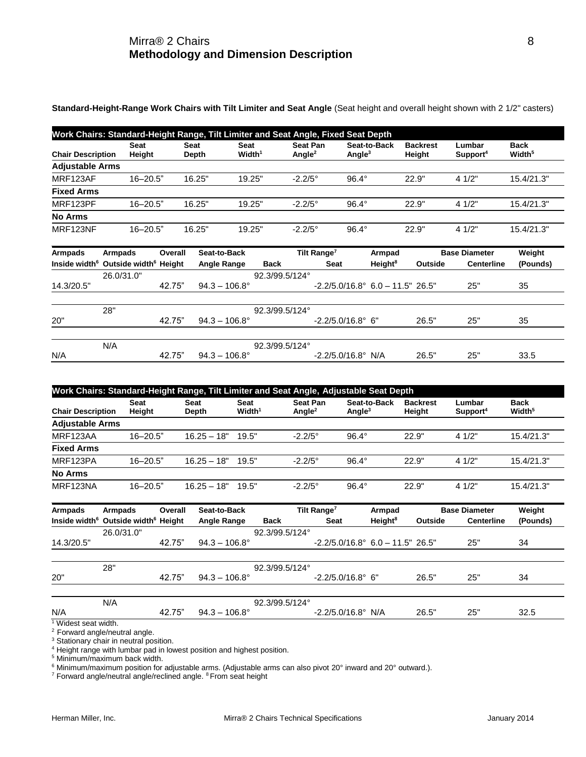**Standard-Height-Range Work Chairs with Tilt Limiter and Seat Angle** (Seat height and overall height shown with 2 1/2" casters)

| <b>Chair Description</b> | <b>Seat</b><br>Height | <b>Seat</b><br>Depth | <b>Seat</b><br>Width <sup>1</sup> | Seat Pan<br>Angle <sup>2</sup> | Seat-to-Back<br>Angle <sup>3</sup> | <b>Backrest</b><br>Height | Lumbar<br>Support <sup>4</sup> | <b>Back</b><br>Width <sup>5</sup> |
|--------------------------|-----------------------|----------------------|-----------------------------------|--------------------------------|------------------------------------|---------------------------|--------------------------------|-----------------------------------|
| <b>Adjustable Arms</b>   |                       |                      |                                   |                                |                                    |                           |                                |                                   |
| MRF123AF                 | $16 - 20.5"$          | 16.25"               | 19.25"                            | $-2.2/5^{\circ}$               | $96.4^\circ$                       | 22.9"                     | 41/2"                          | 15.4/21.3"                        |
| <b>Fixed Arms</b>        |                       |                      |                                   |                                |                                    |                           |                                |                                   |
| MRF123PF                 | $16 - 20.5"$          | 16.25"               | 19.25"                            | $-2.2/5^{\circ}$               | $96.4^\circ$                       | 22.9"                     | 41/2"                          | 15.4/21.3"                        |
| <b>No Arms</b>           |                       |                      |                                   |                                |                                    |                           |                                |                                   |
| MRF123NF                 | $16 - 20.5"$          | 16.25"               | 19.25"                            | $-2.2/5^{\circ}$               | $96.4^\circ$                       | 22.9"                     | 41/2"                          | 15.4/21.3"                        |

| <b>Armpads</b> | <b>Armpads</b>                                              | Overall | Seat-to-Back           |                | Tilt Range <sup>7</sup>                           | Armpad              |         | <b>Base Diameter</b> | Weight   |
|----------------|-------------------------------------------------------------|---------|------------------------|----------------|---------------------------------------------------|---------------------|---------|----------------------|----------|
|                | Inside width <sup>6</sup> Outside width <sup>6</sup> Height |         | <b>Angle Range</b>     | <b>Back</b>    | <b>Seat</b>                                       | Height <sup>8</sup> | Outside | <b>Centerline</b>    | (Pounds) |
|                | 26.0/31.0"                                                  |         |                        | 92.3/99.5/124° |                                                   |                     |         |                      |          |
| 14.3/20.5"     |                                                             | 42.75"  | $94.3 - 106.8^{\circ}$ |                | $-2.2/5.0/16.8^{\circ}$ 6.0 $-11.5^{\circ}$ 26.5" |                     |         | 25"                  | 35       |
|                |                                                             |         |                        |                |                                                   |                     |         |                      |          |
|                | 28"                                                         |         |                        | 92.3/99.5/124° |                                                   |                     |         |                      |          |
| 20"            |                                                             | 42.75"  | $94.3 - 106.8^{\circ}$ |                | $-2.2/5.0/16.8^{\circ}$ 6"                        |                     | 26.5"   | 25"                  | 35       |
|                |                                                             |         |                        |                |                                                   |                     |         |                      |          |
|                | N/A                                                         |         |                        | 92.3/99.5/124° |                                                   |                     |         |                      |          |
| N/A            |                                                             | 42.75"  | $94.3 - 106.8^{\circ}$ |                | $-2.2/5.0/16.8^{\circ}$ N/A                       |                     | 26.5"   | 25"                  | 33.5     |

| Work Chairs: Standard-Height Range, Tilt Limiter and Seat Angle, Adjustable Seat Depth |                       |                      |                            |                                       |                           |                           |                                |                                   |  |  |  |  |
|----------------------------------------------------------------------------------------|-----------------------|----------------------|----------------------------|---------------------------------------|---------------------------|---------------------------|--------------------------------|-----------------------------------|--|--|--|--|
| <b>Chair Description</b>                                                               | <b>Seat</b><br>Height | <b>Seat</b><br>Depth | Seat<br>Width <sup>1</sup> | <b>Seat Pan</b><br>Angle <sup>2</sup> | Seat-to-Back<br>Angle $3$ | <b>Backrest</b><br>Height | Lumbar<br>Support <sup>4</sup> | <b>Back</b><br>Width <sup>5</sup> |  |  |  |  |
| <b>Adjustable Arms</b>                                                                 |                       |                      |                            |                                       |                           |                           |                                |                                   |  |  |  |  |
| MRF123AA                                                                               | $16 - 20.5"$          | $16.25 - 18"$        | 19.5"                      | $-2.2/5^{\circ}$                      | $96.4^\circ$              | 22.9"                     | 41/2"                          | 15.4/21.3"                        |  |  |  |  |
| <b>Fixed Arms</b>                                                                      |                       |                      |                            |                                       |                           |                           |                                |                                   |  |  |  |  |
| MRF123PA                                                                               | $16 - 20.5"$          | $16.25 - 18"$        | 19.5"                      | $-2.2/5^{\circ}$                      | $96.4^\circ$              | 22.9"                     | 41/2"                          | 15.4/21.3"                        |  |  |  |  |
| <b>No Arms</b>                                                                         |                       |                      |                            |                                       |                           |                           |                                |                                   |  |  |  |  |
| MRF123NA                                                                               | $16 - 20.5"$          | $16.25 - 18"$        | 19.5"                      | $-2.2/5^{\circ}$                      | $96.4^\circ$              | 22.9"                     | 41/2"                          | 15.4/21.3"                        |  |  |  |  |

| Armpads     | Armpads                                                     | Overall | Seat-to-Back           |                | Tilt Range <sup>7</sup>                   | Armpad              |         | <b>Base Diameter</b> | Weight   |
|-------------|-------------------------------------------------------------|---------|------------------------|----------------|-------------------------------------------|---------------------|---------|----------------------|----------|
|             | Inside width <sup>6</sup> Outside width <sup>6</sup> Height |         | Angle Range            | <b>Back</b>    | <b>Seat</b>                               | Height <sup>8</sup> | Outside | <b>Centerline</b>    | (Pounds) |
|             | 26.0/31.0"                                                  |         |                        | 92.3/99.5/124° |                                           |                     |         |                      |          |
| 14.3/20.5"  |                                                             | 42.75"  | $94.3 - 106.8^{\circ}$ |                | $-2.2/5.0/16.8^{\circ}$ 6.0 - 11.5" 26.5" |                     |         | 25"                  | 34       |
|             |                                                             |         |                        |                |                                           |                     |         |                      |          |
|             | 28"                                                         |         |                        | 92.3/99.5/124° |                                           |                     |         |                      |          |
| 20"         |                                                             | 42.75"  | $94.3 - 106.8^{\circ}$ |                | $-2.2/5.0/16.8^{\circ}$ 6"                |                     | 26.5"   | 25"                  | 34       |
|             | N/A                                                         |         |                        | 92.3/99.5/124° |                                           |                     |         |                      |          |
| N/A<br>1111 |                                                             | 42.75"  | $94.3 - 106.8^{\circ}$ |                | $-2.2/5.0/16.8^{\circ}$ N/A               |                     | 26.5"   | 25"                  | 32.5     |

<sup>1</sup> Widest seat width.

 $2$  Forward angle/neutral angle.

<sup>3</sup> Stationary chair in neutral position.

<sup>4</sup> Height range with lumbar pad in lowest position and highest position.

<sup>5</sup> Minimum/maximum back width.

<sup>6</sup> Minimum/maximum position for adjustable arms. (Adjustable arms can also pivot 20° inward and 20° outward.).

<sup>7</sup> Forward angle/neutral angle/reclined angle. <sup>8</sup>From seat height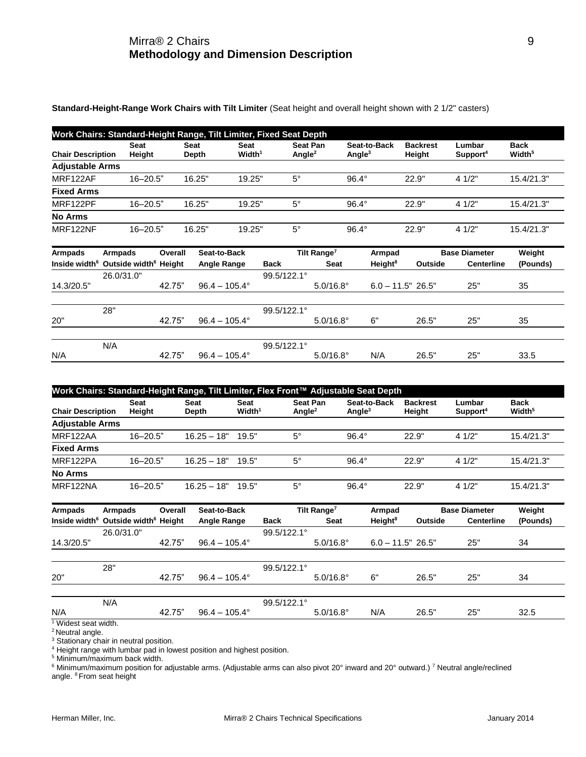## Mirra® 2 Chairs 9 **Methodology and Dimension Description**

**Standard-Height-Range Work Chairs with Tilt Limiter** (Seat height and overall height shown with 2 1/2" casters)

| Work Chairs: Standard-Height Range, Tilt Limiter, Fixed Seat Depth |                |                      |                            |                                |                           |                           |                                |                                   |  |  |  |  |
|--------------------------------------------------------------------|----------------|----------------------|----------------------------|--------------------------------|---------------------------|---------------------------|--------------------------------|-----------------------------------|--|--|--|--|
| <b>Chair Description</b>                                           | Seat<br>Height | <b>Seat</b><br>Depth | Seat<br>Width <sup>1</sup> | Seat Pan<br>Angle <sup>2</sup> | Seat-to-Back<br>Angle $3$ | <b>Backrest</b><br>Height | Lumbar<br>Support <sup>4</sup> | <b>Back</b><br>Width <sup>5</sup> |  |  |  |  |
| <b>Adjustable Arms</b>                                             |                |                      |                            |                                |                           |                           |                                |                                   |  |  |  |  |
| MRF122AF                                                           | $16 - 20.5"$   | 16.25"               | 19.25"                     | $5^\circ$                      | $96.4^\circ$              | 22.9"                     | 41/2"                          | 15.4/21.3"                        |  |  |  |  |
| <b>Fixed Arms</b>                                                  |                |                      |                            |                                |                           |                           |                                |                                   |  |  |  |  |
| MRF122PF                                                           | $16 - 20.5"$   | 16.25"               | 19.25"                     | $5^\circ$                      | $96.4^\circ$              | 22.9"                     | 41/2"                          | 15.4/21.3"                        |  |  |  |  |
| <b>No Arms</b>                                                     |                |                      |                            |                                |                           |                           |                                |                                   |  |  |  |  |
| MRF122NF                                                           | $16 - 20.5"$   | 16.25"               | 19.25"                     | $5^\circ$                      | $96.4^{\circ}$            | 22.9"                     | 41/2"                          | 15.4/21.3"                        |  |  |  |  |

| Armpads    | <b>Armpads</b>                                              | Overall | Seat-to-Back           |                      | Tilt Range <sup>7</sup> | Armpad              |         | <b>Base Diameter</b> | Weight   |
|------------|-------------------------------------------------------------|---------|------------------------|----------------------|-------------------------|---------------------|---------|----------------------|----------|
|            | Inside width <sup>6</sup> Outside width <sup>6</sup> Height |         | <b>Angle Range</b>     | <b>Back</b>          | <b>Seat</b>             | Height <sup>8</sup> | Outside | <b>Centerline</b>    | (Pounds) |
|            | 26.0/31.0"                                                  |         |                        | $99.5/122.1^{\circ}$ |                         |                     |         |                      |          |
| 14.3/20.5" |                                                             | 42.75"  | $96.4 - 105.4^{\circ}$ |                      | $5.0/16.8^{\circ}$      | $6.0 - 11.5" 26.5"$ |         | 25"                  | 35       |
|            |                                                             |         |                        |                      |                         |                     |         |                      |          |
|            | 28"                                                         |         |                        | $99.5/122.1^{\circ}$ |                         |                     |         |                      |          |
| 20"        |                                                             | 42.75"  | $96.4 - 105.4^{\circ}$ |                      | $5.0/16.8^{\circ}$      | 6"                  | 26.5"   | 25"                  | 35       |
|            |                                                             |         |                        |                      |                         |                     |         |                      |          |
|            | N/A                                                         |         |                        | 99.5/122.1°          |                         |                     |         |                      |          |
| N/A        |                                                             | 42.75"  | $96.4 - 105.4^{\circ}$ |                      | $5.0/16.8^{\circ}$      | N/A                 | 26.5"   | 25"                  | 33.5     |

| Work Chairs: Standard-Height Range, Tilt Limiter, Flex Front™ Adjustable Seat Depth |                       |               |                            |                                       |                           |                           |                                |                                   |  |  |  |  |
|-------------------------------------------------------------------------------------|-----------------------|---------------|----------------------------|---------------------------------------|---------------------------|---------------------------|--------------------------------|-----------------------------------|--|--|--|--|
| <b>Chair Description</b>                                                            | <b>Seat</b><br>Heiaht | Seat<br>Depth | Seat<br>Width <sup>1</sup> | <b>Seat Pan</b><br>Angle <sup>2</sup> | Seat-to-Back<br>Angle $3$ | <b>Backrest</b><br>Height | Lumbar<br>Support <sup>4</sup> | <b>Back</b><br>Width <sup>5</sup> |  |  |  |  |
| <b>Adjustable Arms</b>                                                              |                       |               |                            |                                       |                           |                           |                                |                                   |  |  |  |  |
| MRF122AA                                                                            | $16 - 20.5"$          | $16.25 - 18"$ | 19.5"                      | $5^\circ$                             | $96.4^\circ$              | 22.9"                     | 41/2"                          | 15.4/21.3"                        |  |  |  |  |
| <b>Fixed Arms</b>                                                                   |                       |               |                            |                                       |                           |                           |                                |                                   |  |  |  |  |
| MRF122PA                                                                            | $16 - 20.5"$          | $16.25 - 18"$ | 19.5"                      | $5^\circ$                             | $96.4^\circ$              | 22.9"                     | 41/2"                          | 15.4/21.3"                        |  |  |  |  |
| <b>No Arms</b>                                                                      |                       |               |                            |                                       |                           |                           |                                |                                   |  |  |  |  |
| MRF122NA                                                                            | $16 - 20.5"$          | $16.25 - 18"$ | 19.5"                      | $5^\circ$                             | $96.4^\circ$              | 22.9"                     | 41/2"                          | 15.4/21.3"                        |  |  |  |  |

| <b>Armpads</b>               | <b>Armpads</b>                                              | Overall | Seat-to-Back           |             | Tilt Range <sup>7</sup> | Armpad               |         | <b>Base Diameter</b> | Weight   |
|------------------------------|-------------------------------------------------------------|---------|------------------------|-------------|-------------------------|----------------------|---------|----------------------|----------|
|                              | Inside width <sup>6</sup> Outside width <sup>6</sup> Height |         | Angle Range            | <b>Back</b> | <b>Seat</b>             | Height <sup>8</sup>  | Outside | <b>Centerline</b>    | (Pounds) |
|                              | 26.0/31.0"                                                  |         |                        | 99.5/122.1° |                         |                      |         |                      |          |
| 14.3/20.5"                   |                                                             | 42.75"  | $96.4 - 105.4^{\circ}$ |             | $5.0/16.8^{\circ}$      | $6.0 - 11.5$ " 26.5" |         | 25"                  | 34       |
|                              |                                                             |         |                        |             |                         |                      |         |                      |          |
|                              | 28"                                                         |         |                        | 99.5/122.1° |                         |                      |         |                      |          |
| 20"                          |                                                             | 42.75"  | $96.4 - 105.4^{\circ}$ |             | $5.0/16.8^{\circ}$      | 6"                   | 26.5"   | 25"                  | 34       |
|                              |                                                             |         |                        |             |                         |                      |         |                      |          |
|                              | N/A                                                         |         |                        | 99.5/122.1° |                         |                      |         |                      |          |
| N/A<br>$1$ Midost soot width |                                                             | 42.75"  | $96.4 - 105.4^{\circ}$ |             | $5.0/16.8^{\circ}$      | N/A                  | 26.5"   | 25"                  | 32.5     |

Widest seat width.

<sup>2</sup> Neutral angle.

<sup>3</sup> Stationary chair in neutral position.

<sup>4</sup> Height range with lumbar pad in lowest position and highest position.

<sup>5</sup> Minimum/maximum back width.

<sup>6</sup> Minimum/maximum position for adjustable arms. (Adjustable arms can also pivot 20° inward and 20° outward.) <sup>7</sup> Neutral angle/reclined angle. <sup>8</sup> From seat height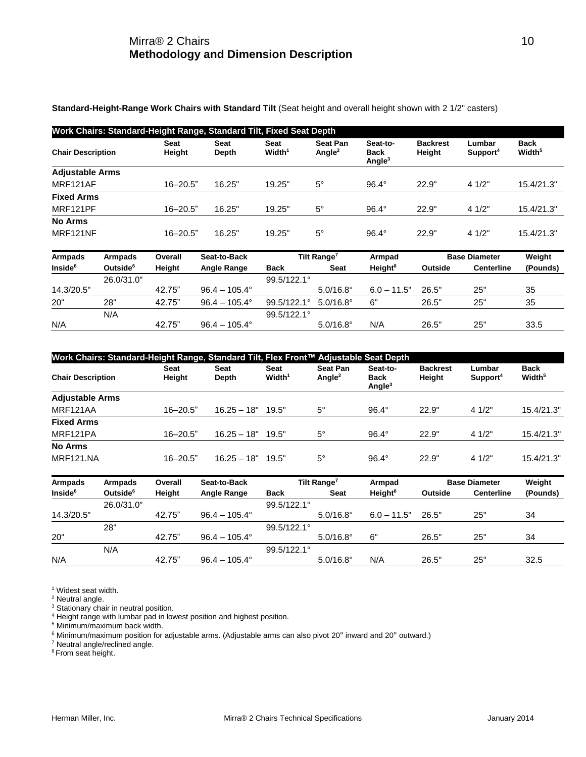**Standard-Height-Range Work Chairs with Standard Tilt** (Seat height and overall height shown with 2 1/2" casters)

|                          |                      |                       | Work Chairs: Standard-Height Range, Standard Tilt, Fixed Seat Depth |                               |                                       |                                      |                           |                                |                                   |
|--------------------------|----------------------|-----------------------|---------------------------------------------------------------------|-------------------------------|---------------------------------------|--------------------------------------|---------------------------|--------------------------------|-----------------------------------|
| <b>Chair Description</b> |                      | <b>Seat</b><br>Height | Seat<br>Depth                                                       | Seat<br>$W$ idth <sup>1</sup> | <b>Seat Pan</b><br>Angle <sup>2</sup> | Seat-to-<br><b>Back</b><br>Angle $3$ | <b>Backrest</b><br>Height | Lumbar<br>Support <sup>4</sup> | <b>Back</b><br>Width <sup>5</sup> |
| <b>Adjustable Arms</b>   |                      |                       |                                                                     |                               |                                       |                                      |                           |                                |                                   |
| MRF121AF                 |                      | $16 - 20.5"$          | 16.25"                                                              | 19.25"                        | $5^\circ$                             | $96.4^\circ$                         | 22.9"                     | 4 1/2"                         | 15.4/21.3"                        |
| <b>Fixed Arms</b>        |                      |                       |                                                                     |                               |                                       |                                      |                           |                                |                                   |
| MRF121PF                 |                      | $16 - 20.5"$          | 16.25"                                                              | 19.25"                        | $5^{\circ}$                           | $96.4^\circ$                         | 22.9"                     | 4 1/2"                         | 15.4/21.3"                        |
| <b>No Arms</b>           |                      |                       |                                                                     |                               |                                       |                                      |                           |                                |                                   |
| MRF121NF                 |                      | $16 - 20.5"$          | 16.25"                                                              | 19.25"                        | $5^{\circ}$                           | $96.4^\circ$                         | 22.9"                     | 4 1/2"                         | 15.4/21.3"                        |
| <b>Armpads</b>           | Armpads              | Overall               | Seat-to-Back                                                        |                               | Tilt Range <sup>7</sup>               | Armpad                               |                           | <b>Base Diameter</b>           | Weight                            |
| Inside <sup>6</sup>      | Outside <sup>6</sup> | Height                | <b>Angle Range</b>                                                  | <b>Back</b>                   | <b>Seat</b>                           | Height <sup>8</sup>                  | Outside                   | <b>Centerline</b>              | (Pounds)                          |
|                          | 26.0/31.0"           |                       |                                                                     | 99.5/122.1°                   |                                       |                                      |                           |                                |                                   |
| 14.3/20.5"               |                      | 42.75"                | $96.4 - 105.4^{\circ}$                                              |                               | $5.0/16.8^{\circ}$                    | $6.0 - 11.5"$                        | 26.5"                     | 25"                            | 35                                |
| 20"                      | 28"                  | 42.75"                | $96.4 - 105.4^{\circ}$                                              | 99.5/122.1°                   | $5.0/16.8^{\circ}$                    | 6"                                   | 26.5"                     | 25"                            | 35                                |
|                          | N/A                  |                       |                                                                     | 99.5/122.1°                   |                                       |                                      |                           |                                |                                   |
| N/A                      |                      | 42.75"                | $96.4 - 105.4^{\circ}$                                              |                               | $5.0/16.8^{\circ}$                    | N/A                                  | 26.5"                     | 25"                            | 33.5                              |

|                          |                      |                | Work Chairs: Standard-Height Range, Standard Tilt, Flex Front™ Adjustable Seat Depth |                            |                                       |                               |                           |                                |                                   |
|--------------------------|----------------------|----------------|--------------------------------------------------------------------------------------|----------------------------|---------------------------------------|-------------------------------|---------------------------|--------------------------------|-----------------------------------|
| <b>Chair Description</b> |                      | Seat<br>Height | Seat<br>Depth                                                                        | Seat<br>Width <sup>1</sup> | <b>Seat Pan</b><br>Angle <sup>2</sup> | Seat-to-<br>Back<br>Angle $3$ | <b>Backrest</b><br>Height | Lumbar<br>Support <sup>4</sup> | <b>Back</b><br>Width <sup>5</sup> |
| <b>Adjustable Arms</b>   |                      |                |                                                                                      |                            |                                       |                               |                           |                                |                                   |
| MRF121AA                 |                      | $16 - 20.5"$   | $16.25 - 18"$                                                                        | 19.5"                      | $5^{\circ}$                           | $96.4^\circ$                  | 22.9"                     | 4 1/2"                         | 15.4/21.3"                        |
| <b>Fixed Arms</b>        |                      |                |                                                                                      |                            |                                       |                               |                           |                                |                                   |
| MRF121PA                 |                      | $16 - 20.5$ "  | $16.25 - 18"$                                                                        | 19.5"                      | $5^{\circ}$                           | $96.4^\circ$                  | 22.9"                     | 4 1/2"                         | 15.4/21.3"                        |
| <b>No Arms</b>           |                      |                |                                                                                      |                            |                                       |                               |                           |                                |                                   |
| <b>MRF121.NA</b>         |                      | $16 - 20.5"$   | $16.25 - 18"$                                                                        | 19.5"                      | $5^{\circ}$                           | $96.4^\circ$                  | 22.9"                     | 4 1/2"                         | 15.4/21.3"                        |
| <b>Armpads</b>           | Armpads              | Overall        | Seat-to-Back                                                                         |                            | Tilt Range <sup>7</sup>               | Armpad                        |                           | <b>Base Diameter</b>           | Weight                            |
| Inside <sup>6</sup>      | Outside <sup>6</sup> | Height         | Angle Range                                                                          | <b>Back</b>                | Seat                                  | Height <sup>8</sup>           | Outside                   | <b>Centerline</b>              | (Pounds)                          |
|                          | 26.0/31.0"           |                |                                                                                      | 99.5/122.1°                |                                       |                               |                           |                                |                                   |
| 14.3/20.5"               |                      | 42.75"         | $96.4 - 105.4^{\circ}$                                                               |                            | $5.0/16.8^{\circ}$                    | $6.0 - 11.5"$                 | 26.5"                     | 25"                            | 34                                |
|                          | 28"                  |                |                                                                                      | 99.5/122.1°                |                                       |                               |                           |                                |                                   |
| 20"                      |                      | 42.75"         | $96.4 - 105.4^{\circ}$                                                               |                            | $5.0/16.8^{\circ}$                    | 6"                            | 26.5"                     | 25"                            | 34                                |
|                          | N/A                  |                |                                                                                      | 99.5/122.1°                |                                       |                               |                           |                                |                                   |
| N/A                      |                      | 42.75"         | $96.4 - 105.4^{\circ}$                                                               |                            | $5.0/16.8^{\circ}$                    | N/A                           | 26.5"                     | 25"                            | 32.5                              |

<sup>1</sup> Widest seat width.

<sup>2</sup> Neutral angle.

<sup>3</sup> Stationary chair in neutral position.

<sup>4</sup> Height range with lumbar pad in lowest position and highest position.

<sup>5</sup> Minimum/maximum back width.

<sup>6</sup> Minimum/maximum position for adjustable arms. (Adjustable arms can also pivot 20° inward and 20° outward.)

<sup>7</sup> Neutral angle/reclined angle.

<sup>8</sup> From seat height.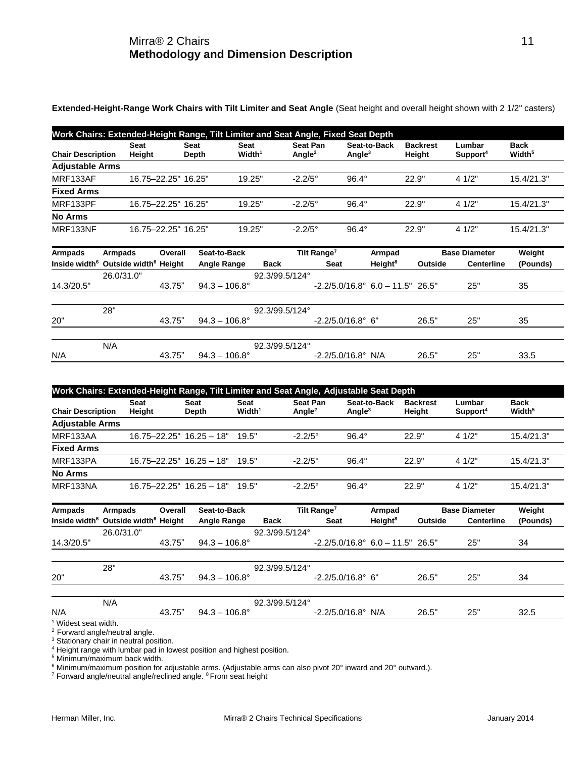**Extended-Height-Range Work Chairs with Tilt Limiter and Seat Angle** (Seat height and overall height shown with 2 1/2" casters)

| Work Chairs: Extended-Height Range, Tilt Limiter and Seat Angle, Fixed Seat Depth |                       |                      |                            |                                |                           |                           |                                |                                   |  |  |  |  |
|-----------------------------------------------------------------------------------|-----------------------|----------------------|----------------------------|--------------------------------|---------------------------|---------------------------|--------------------------------|-----------------------------------|--|--|--|--|
| <b>Chair Description</b>                                                          | <b>Seat</b><br>Height | <b>Seat</b><br>Depth | Seat<br>Width <sup>1</sup> | Seat Pan<br>Angle <sup>2</sup> | Seat-to-Back<br>Angle $3$ | <b>Backrest</b><br>Height | Lumbar<br>Support <sup>4</sup> | <b>Back</b><br>Width <sup>5</sup> |  |  |  |  |
| <b>Adjustable Arms</b>                                                            |                       |                      |                            |                                |                           |                           |                                |                                   |  |  |  |  |
| MRF133AF                                                                          | 16.75-22.25" 16.25"   |                      | 19.25"                     | $-2.2/5^{\circ}$               | $96.4^\circ$              | 22.9"                     | 41/2"                          | 15.4/21.3"                        |  |  |  |  |
| <b>Fixed Arms</b>                                                                 |                       |                      |                            |                                |                           |                           |                                |                                   |  |  |  |  |
| MRF133PF                                                                          | 16.75-22.25" 16.25"   |                      | 19.25"                     | $-2.2/5^{\circ}$               | $96.4^\circ$              | 22.9"                     | 41/2"                          | 15.4/21.3"                        |  |  |  |  |
| <b>No Arms</b>                                                                    |                       |                      |                            |                                |                           |                           |                                |                                   |  |  |  |  |
| MRF133NF                                                                          | 16.75-22.25" 16.25"   |                      | 19.25"                     | $-2.2/5^{\circ}$               | $96.4^\circ$              | 22.9"                     | 41/2"                          | 15.4/21.3"                        |  |  |  |  |

| Armpads    | <b>Armpads</b>                                              | Overall | Seat-to-Back           |                | Tilt Range <sup>7</sup>                           | Armpad              |         | <b>Base Diameter</b> | Weight   |
|------------|-------------------------------------------------------------|---------|------------------------|----------------|---------------------------------------------------|---------------------|---------|----------------------|----------|
|            | Inside width <sup>6</sup> Outside width <sup>6</sup> Height |         | <b>Angle Range</b>     | <b>Back</b>    | <b>Seat</b>                                       | Height <sup>8</sup> | Outside | <b>Centerline</b>    | (Pounds) |
|            | 26.0/31.0"                                                  |         |                        | 92.3/99.5/124° |                                                   |                     |         |                      |          |
| 14.3/20.5" |                                                             | 43.75"  | $94.3 - 106.8^{\circ}$ |                | $-2.2/5.0/16.8^{\circ}$ 6.0 $-11.5^{\circ}$ 26.5" |                     |         | 25"                  | 35       |
|            |                                                             |         |                        |                |                                                   |                     |         |                      |          |
|            | 28"                                                         |         |                        | 92.3/99.5/124° |                                                   |                     |         |                      |          |
| 20"        |                                                             | 43.75"  | $94.3 - 106.8^{\circ}$ |                | $-2.2/5.0/16.8^{\circ}$ 6"                        |                     | 26.5"   | 25"                  | 35       |
|            |                                                             |         |                        |                |                                                   |                     |         |                      |          |
|            | N/A                                                         |         |                        | 92.3/99.5/124° |                                                   |                     |         |                      |          |
| N/A        |                                                             | 43.75"  | $94.3 - 106.8^{\circ}$ |                | $-2.2/5.0/16.8^{\circ}$ N/A                       |                     | 26.5"   | 25"                  | 33.5     |

| Work Chairs: Extended-Height Range, Tilt Limiter and Seat Angle, Adjustable Seat Depth |                              |                             |                            |                              |                           |                           |                                |                                   |  |  |  |  |
|----------------------------------------------------------------------------------------|------------------------------|-----------------------------|----------------------------|------------------------------|---------------------------|---------------------------|--------------------------------|-----------------------------------|--|--|--|--|
| <b>Chair Description</b>                                                               | <b>Seat</b><br>Height        | <b>Seat</b><br><b>Depth</b> | Seat<br>Width <sup>1</sup> | <b>Seat Pan</b><br>Angle $2$ | Seat-to-Back<br>Angle $3$ | <b>Backrest</b><br>Height | Lumbar<br>Support <sup>4</sup> | <b>Back</b><br>Width <sup>5</sup> |  |  |  |  |
| <b>Adjustable Arms</b>                                                                 |                              |                             |                            |                              |                           |                           |                                |                                   |  |  |  |  |
| MRF133AA                                                                               | $16.75 - 22.25" 16.25 - 18"$ |                             | 19.5"                      | $-2.2/5^{\circ}$             | $96.4^\circ$              | 22.9"                     | 41/2"                          | 15.4/21.3"                        |  |  |  |  |
| <b>Fixed Arms</b>                                                                      |                              |                             |                            |                              |                           |                           |                                |                                   |  |  |  |  |
| MRF133PA                                                                               | $16.75 - 22.25" 16.25 - 18"$ |                             | 19.5"                      | $-2.2/5^{\circ}$             | $96.4^\circ$              | 22.9"                     | 41/2"                          | 15.4/21.3"                        |  |  |  |  |
| <b>No Arms</b>                                                                         |                              |                             |                            |                              |                           |                           |                                |                                   |  |  |  |  |
| MRF133NA                                                                               | $16.75 - 22.25" 16.25 - 18"$ |                             | 19.5"                      | $-2.2/5^{\circ}$             | $96.4^\circ$              | 22.9"                     | 41/2"                          | 15.4/21.3"                        |  |  |  |  |

| Armpads                        | Armpads                                                     | Overall | Seat-to-Back           |                | Tilt Range <sup>7</sup>                           | Armpad              |         | <b>Base Diameter</b> | Weight   |
|--------------------------------|-------------------------------------------------------------|---------|------------------------|----------------|---------------------------------------------------|---------------------|---------|----------------------|----------|
|                                | Inside width <sup>6</sup> Outside width <sup>6</sup> Height |         | Angle Range            | <b>Back</b>    | <b>Seat</b>                                       | Height <sup>8</sup> | Outside | <b>Centerline</b>    | (Pounds) |
|                                | 26.0/31.0"                                                  |         |                        | 92.3/99.5/124° |                                                   |                     |         |                      |          |
| 14.3/20.5"                     |                                                             | 43.75"  | $94.3 - 106.8^{\circ}$ |                | $-2.2/5.0/16.8^{\circ}$ 6.0 $-11.5^{\circ}$ 26.5" |                     |         | 25"                  | 34       |
|                                |                                                             |         |                        |                |                                                   |                     |         |                      |          |
|                                | 28"                                                         |         |                        | 92.3/99.5/124° |                                                   |                     |         |                      |          |
| 20"                            |                                                             | 43.75"  | $94.3 - 106.8^{\circ}$ |                | $-2.2/5.0/16.8^{\circ}$ 6"                        |                     | 26.5"   | 25"                  | 34       |
|                                | N/A                                                         |         |                        | 92.3/99.5/124° |                                                   |                     |         |                      |          |
| N/A<br>$Mid$ ont annt $u$ idth |                                                             | 43.75"  | $94.3 - 106.8^{\circ}$ |                | $-2.2/5.0/16.8^{\circ}$ N/A                       |                     | 26.5"   | 25"                  | 32.5     |

<sup>1</sup> Widest seat width.

 $2$  Forward angle/neutral angle.

<sup>3</sup> Stationary chair in neutral position.

<sup>4</sup> Height range with lumbar pad in lowest position and highest position.

<sup>5</sup> Minimum/maximum back width.

<sup>6</sup> Minimum/maximum position for adjustable arms. (Adjustable arms can also pivot 20° inward and 20° outward.).

<sup>7</sup> Forward angle/neutral angle/reclined angle. <sup>8</sup> From seat height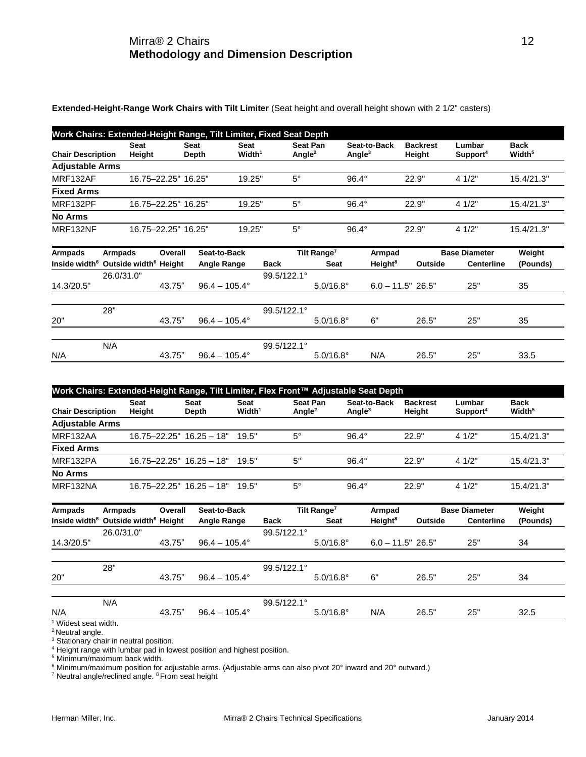## Mirra® 2 Chairs 12 **Methodology and Dimension Description**

**Extended-Height-Range Work Chairs with Tilt Limiter** (Seat height and overall height shown with 2 1/2" casters)

| Work Chairs: Extended-Height Range, Tilt Limiter, Fixed Seat Depth |                       |                      |                            |                       |                           |                           |                                |                                   |
|--------------------------------------------------------------------|-----------------------|----------------------|----------------------------|-----------------------|---------------------------|---------------------------|--------------------------------|-----------------------------------|
| <b>Chair Description</b>                                           | <b>Seat</b><br>Height | <b>Seat</b><br>Depth | Seat<br>Width <sup>1</sup> | Seat Pan<br>Angle $2$ | Seat-to-Back<br>Angle $3$ | <b>Backrest</b><br>Height | Lumbar<br>Support <sup>4</sup> | <b>Back</b><br>Width <sup>5</sup> |
| <b>Adjustable Arms</b>                                             |                       |                      |                            |                       |                           |                           |                                |                                   |
| MRF132AF                                                           | 16.75-22.25" 16.25"   |                      | 19.25"                     | $5^\circ$             | $96.4^\circ$              | 22.9"                     | 4 1/2"                         | 15.4/21.3"                        |
| <b>Fixed Arms</b>                                                  |                       |                      |                            |                       |                           |                           |                                |                                   |
| MRF132PF                                                           | 16.75-22.25" 16.25"   |                      | 19.25"                     | $5^\circ$             | $96.4^\circ$              | 22.9"                     | 4 1/2"                         | 15.4/21.3"                        |
| <b>No Arms</b>                                                     |                       |                      |                            |                       |                           |                           |                                |                                   |
| MRF132NF                                                           | 16.75-22.25" 16.25"   |                      | 19.25"                     | $5^\circ$             | $96.4^\circ$              | 22.9"                     | 4 1/2"                         | 15.4/21.3"                        |

| <b>Armpads</b> | <b>Armpads</b>                                              | Overall | Seat-to-Back           |                      | Tilt Range <sup>7</sup> | Armpad              |         | <b>Base Diameter</b> | Weight   |
|----------------|-------------------------------------------------------------|---------|------------------------|----------------------|-------------------------|---------------------|---------|----------------------|----------|
|                | Inside width <sup>6</sup> Outside width <sup>6</sup> Height |         | <b>Angle Range</b>     | <b>Back</b>          | Seat                    | Height <sup>8</sup> | Outside | <b>Centerline</b>    | (Pounds) |
|                | 26.0/31.0"                                                  |         |                        | 99.5/122.1°          |                         |                     |         |                      |          |
| 14.3/20.5"     |                                                             | 43.75"  | $96.4 - 105.4^{\circ}$ |                      | $5.0/16.8^{\circ}$      | $6.0 - 11.5" 26.5"$ |         | 25"                  | 35       |
|                |                                                             |         |                        |                      |                         |                     |         |                      |          |
|                | 28"                                                         |         |                        | $99.5/122.1^{\circ}$ |                         |                     |         |                      |          |
| 20"            |                                                             | 43.75"  | $96.4 - 105.4^{\circ}$ |                      | $5.0/16.8^{\circ}$      | 6"                  | 26.5"   | 25"                  | 35       |
|                |                                                             |         |                        |                      |                         |                     |         |                      |          |
|                | N/A                                                         |         |                        | $99.5/122.1^{\circ}$ |                         |                     |         |                      |          |
| N/A            |                                                             | 43.75"  | $96.4 - 105.4^{\circ}$ |                      | $5.0/16.8^{\circ}$      | N/A                 | 26.5"   | 25"                  | 33.5     |

| Work Chairs: Extended-Height Range, Tilt Limiter, Flex Front™ Adjustable Seat Depth |                              |                             |                            |                              |                           |                           |                                |                                   |
|-------------------------------------------------------------------------------------|------------------------------|-----------------------------|----------------------------|------------------------------|---------------------------|---------------------------|--------------------------------|-----------------------------------|
| <b>Chair Description</b>                                                            | <b>Seat</b><br>Height        | <b>Seat</b><br><b>Depth</b> | Seat<br>Width <sup>1</sup> | <b>Seat Pan</b><br>Angle $2$ | Seat-to-Back<br>Angle $3$ | <b>Backrest</b><br>Height | Lumbar<br>Support <sup>4</sup> | <b>Back</b><br>Width <sup>5</sup> |
| <b>Adjustable Arms</b>                                                              |                              |                             |                            |                              |                           |                           |                                |                                   |
| MRF132AA                                                                            | $16.75 - 22.25" 16.25 - 18"$ |                             | 19.5"                      | $5^{\circ}$                  | $96.4^\circ$              | 22.9"                     | 41/2"                          | 15.4/21.3"                        |
| <b>Fixed Arms</b>                                                                   |                              |                             |                            |                              |                           |                           |                                |                                   |
| MRF132PA                                                                            | $16.75 - 22.25" 16.25 - 18"$ |                             | 19.5"                      | $5^{\circ}$                  | $96.4^\circ$              | 22.9"                     | 41/2"                          | 15.4/21.3"                        |
| <b>No Arms</b>                                                                      |                              |                             |                            |                              |                           |                           |                                |                                   |
| MRF132NA                                                                            | $16.75 - 22.25" 16.25 - 18"$ |                             | 19.5"                      | $5^{\circ}$                  | $96.4^{\circ}$            | 22.9"                     | 41/2"                          | 15.4/21.3"                        |

| <b>Armpads</b>     | <b>Armpads</b>                                              | Overall | Seat-to-Back           |                      | Tilt Range <sup>7</sup> | Armpad              |         | <b>Base Diameter</b> | Weight   |
|--------------------|-------------------------------------------------------------|---------|------------------------|----------------------|-------------------------|---------------------|---------|----------------------|----------|
|                    | Inside width <sup>6</sup> Outside width <sup>6</sup> Height |         | Angle Range            | <b>Back</b>          | <b>Seat</b>             | Height <sup>8</sup> | Outside | <b>Centerline</b>    | (Pounds) |
|                    | 26.0/31.0"                                                  |         |                        | 99.5/122.1°          |                         |                     |         |                      |          |
| 14.3/20.5"         |                                                             | 43.75"  | $96.4 - 105.4^{\circ}$ |                      | $5.0/16.8^{\circ}$      | $6.0 - 11.5" 26.5"$ |         | 25"                  | 34       |
|                    |                                                             |         |                        |                      |                         |                     |         |                      |          |
|                    | 28"                                                         |         |                        | $99.5/122.1^{\circ}$ |                         |                     |         |                      |          |
| 20"                |                                                             | 43.75"  | $96.4 - 105.4^{\circ}$ |                      | $5.0/16.8^{\circ}$      | 6"                  | 26.5"   | 25"                  | 34       |
|                    |                                                             |         |                        |                      |                         |                     |         |                      |          |
|                    | N/A                                                         |         |                        | 99.5/122.1°          |                         |                     |         |                      |          |
| N/A                |                                                             | 43.75"  | $96.4 - 105.4^{\circ}$ |                      | $5.0/16.8^{\circ}$      | N/A                 | 26.5"   | 25"                  | 32.5     |
| Widest seat width. |                                                             |         |                        |                      |                         |                     |         |                      |          |

<sup>2</sup> Neutral angle.

<sup>3</sup> Stationary chair in neutral position.

<sup>4</sup> Height range with lumbar pad in lowest position and highest position.

<sup>5</sup> Minimum/maximum back width.

 $^6$  Minimum/maximum position for adjustable arms. (Adjustable arms can also pivot 20° inward and 20° outward.)

<sup>7</sup> Neutral angle/reclined angle. <sup>8</sup> From seat height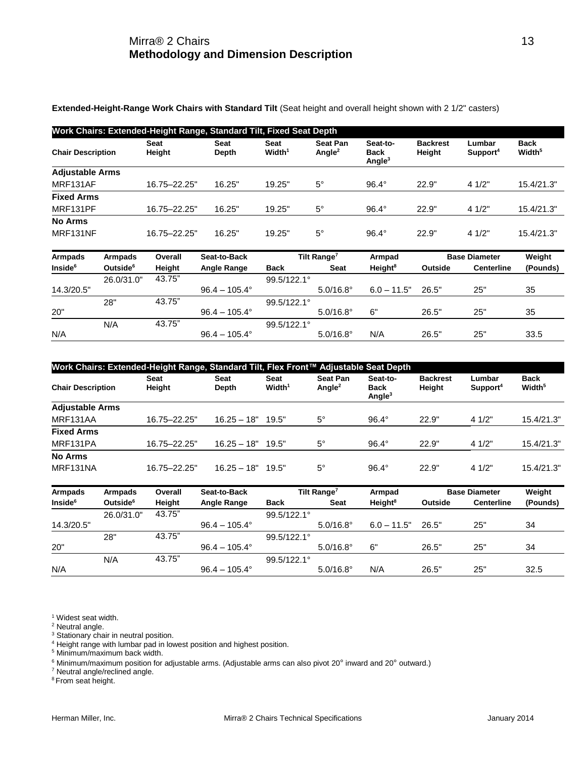**Extended-Height-Range Work Chairs with Standard Tilt** (Seat height and overall height shown with 2 1/2" casters)

|                            | Work Chairs: Extended-Height Range, Standard Tilt, Fixed Seat Depth |                |                        |                                   |                                       |                                      |                           |                                |                            |
|----------------------------|---------------------------------------------------------------------|----------------|------------------------|-----------------------------------|---------------------------------------|--------------------------------------|---------------------------|--------------------------------|----------------------------|
| <b>Chair Description</b>   |                                                                     | Seat<br>Height | Seat<br>Depth          | <b>Seat</b><br>Width <sup>1</sup> | <b>Seat Pan</b><br>Angle <sup>2</sup> | Seat-to-<br><b>Back</b><br>Angle $3$ | <b>Backrest</b><br>Height | Lumbar<br>Support <sup>4</sup> | Back<br>Width <sup>5</sup> |
| <b>Adjustable Arms</b>     |                                                                     |                |                        |                                   |                                       |                                      |                           |                                |                            |
| MRF131AF                   |                                                                     | 16.75 - 22.25" | 16.25"                 | 19.25"                            | $5^{\circ}$                           | $96.4^\circ$                         | 22.9"                     | 4 1/2"                         | 15.4/21.3"                 |
| <b>Fixed Arms</b>          |                                                                     |                |                        |                                   |                                       |                                      |                           |                                |                            |
| MRF131PF                   |                                                                     | 16.75-22.25"   | 16.25"                 | 19.25"                            | $5^\circ$                             | $96.4^\circ$                         | 22.9"                     | 4 1/2"                         | 15.4/21.3"                 |
| <b>No Arms</b><br>MRF131NF |                                                                     | 16.75-22.25"   | 16.25"                 | 19.25"                            | $5^\circ$                             | $96.4^\circ$                         | 22.9"                     | 4 1/2"                         | 15.4/21.3"                 |
| <b>Armpads</b>             | <b>Armpads</b>                                                      | Overall        | Seat-to-Back           |                                   | Tilt Range <sup>7</sup>               | Armpad                               |                           | <b>Base Diameter</b>           | Weight                     |
| Inside <sup>6</sup>        | Outside <sup>6</sup>                                                | Height         | <b>Angle Range</b>     | <b>Back</b>                       | <b>Seat</b>                           | Height <sup>8</sup>                  | Outside                   | <b>Centerline</b>              | (Pounds)                   |
| 14.3/20.5"                 | 26.0/31.0"                                                          | 43.75"         | $96.4 - 105.4^{\circ}$ | 99.5/122.1°                       | $5.0/16.8^{\circ}$                    | $6.0 - 11.5"$                        | 26.5"                     | 25"                            | 35                         |
|                            | 28"                                                                 | 43.75"         |                        | 99.5/122.1°                       |                                       |                                      |                           |                                |                            |
| 20"                        |                                                                     |                | $96.4 - 105.4^{\circ}$ |                                   | $5.0/16.8^{\circ}$                    | 6"                                   | 26.5"                     | 25"                            | 35                         |
|                            | N/A                                                                 | 43.75"         |                        | 99.5/122.1°                       |                                       |                                      |                           |                                |                            |
| N/A                        |                                                                     |                | $96.4 - 105.4^{\circ}$ |                                   | $5.0/16.8^{\circ}$                    | N/A                                  | 26.5"                     | 25"                            | 33.5                       |

| Work Chairs: Extended-Height Range, Standard Tilt, Flex Front™ Adjustable Seat Depth |                       |                      |                            |                       |                                               |                           |                                |                                   |
|--------------------------------------------------------------------------------------|-----------------------|----------------------|----------------------------|-----------------------|-----------------------------------------------|---------------------------|--------------------------------|-----------------------------------|
| <b>Chair Description</b>                                                             | <b>Seat</b><br>Height | Seat<br><b>Depth</b> | Seat<br>Width <sup>1</sup> | Seat Pan<br>Angle $2$ | Seat-to-<br><b>Back</b><br>Angle <sup>3</sup> | <b>Backrest</b><br>Height | Lumbar<br>Support <sup>4</sup> | <b>Back</b><br>Width <sup>5</sup> |
| <b>Adjustable Arms</b>                                                               |                       |                      |                            |                       |                                               |                           |                                |                                   |
| MRF131AA                                                                             | 16.75-22.25"          | $16.25 - 18"$        | 19.5"                      | $5^{\circ}$           | $96.4^\circ$                                  | 22.9"                     | 41/2"                          | 15.4/21.3"                        |
| <b>Fixed Arms</b>                                                                    |                       |                      |                            |                       |                                               |                           |                                |                                   |
| MRF131PA                                                                             | 16.75-22.25"          | $16.25 - 18"$        | 19.5"                      | $5^{\circ}$           | $96.4^\circ$                                  | 22.9"                     | 41/2"                          | 15.4/21.3"                        |
| <b>No Arms</b>                                                                       |                       |                      |                            |                       |                                               |                           |                                |                                   |
| MRF131NA                                                                             | 16.75-22.25"          | $16.25 - 18"$        | 19.5"                      | $5^\circ$             | $96.4^\circ$                                  | 22.9"                     | 41/2"                          | 15.4/21.3"                        |

| <b>Armpads</b>      | Armpads              | Overall | Seat-to-Back           |                      | Tilt Range <sup>7</sup> | Armpad              |         | <b>Base Diameter</b> | Weight   |
|---------------------|----------------------|---------|------------------------|----------------------|-------------------------|---------------------|---------|----------------------|----------|
| Inside <sup>6</sup> | Outside <sup>6</sup> | Height  | <b>Angle Range</b>     | <b>Back</b>          | Seat                    | Height <sup>8</sup> | Outside | <b>Centerline</b>    | (Pounds) |
|                     | 26.0/31.0"           | 43.75"  |                        | $99.5/122.1^{\circ}$ |                         |                     |         |                      |          |
| 14.3/20.5"          |                      |         | $96.4 - 105.4^{\circ}$ |                      | $5.0/16.8^{\circ}$      | $6.0 - 11.5"$       | 26.5"   | 25"                  | 34       |
|                     | 28"                  | 43.75"  |                        | $99.5/122.1^{\circ}$ |                         |                     |         |                      |          |
| 20"                 |                      |         | $96.4 - 105.4^{\circ}$ |                      | $5.0/16.8^{\circ}$      | 6"                  | 26.5"   | 25"                  | 34       |
|                     | N/A                  | 43.75"  |                        | $99.5/122.1^{\circ}$ |                         |                     |         |                      |          |
| N/A                 |                      |         | $96.4 - 105.4^{\circ}$ |                      | $5.0/16.8^{\circ}$      | N/A                 | 26.5"   | 25"                  | 32.5     |

<sup>1</sup> Widest seat width.

<sup>2</sup> Neutral angle.

<sup>3</sup> Stationary chair in neutral position.

<sup>4</sup> Height range with lumbar pad in lowest position and highest position.

<sup>5</sup> Minimum/maximum back width.

 $6$  Minimum/maximum position for adjustable arms. (Adjustable arms can also pivot 20 $^{\circ}$  inward and 20 $^{\circ}$  outward.)

<sup>7</sup> Neutral angle/reclined angle.

<sup>8</sup> From seat height.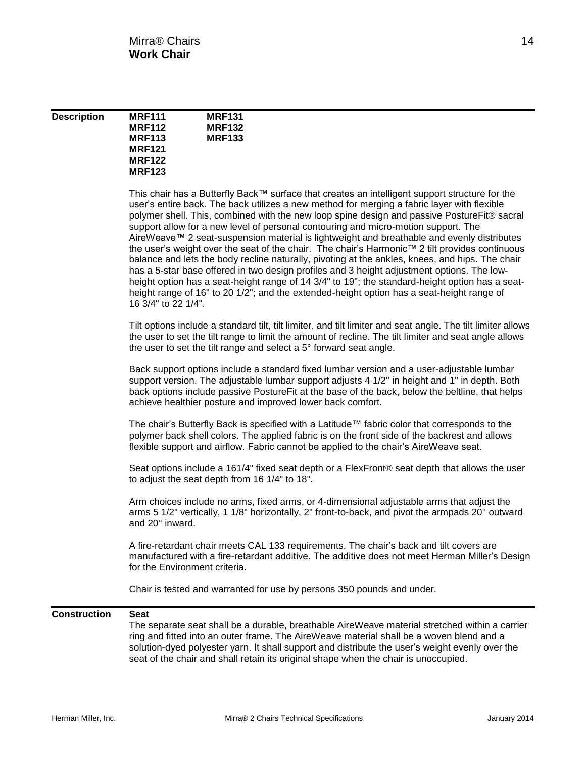| <b>Description</b> | <b>MRF111</b> | <b>MRF131</b> |
|--------------------|---------------|---------------|
|                    | <b>MRF112</b> | <b>MRF132</b> |
|                    | <b>MRF113</b> | <b>MRF133</b> |
|                    | <b>MRF121</b> |               |
|                    | <b>MRF122</b> |               |
|                    | <b>MRF123</b> |               |
|                    |               |               |

This chair has a Butterfly Back™ surface that creates an intelligent support structure for the user's entire back. The back utilizes a new method for merging a fabric layer with flexible polymer shell. This, combined with the new loop spine design and passive PostureFit® sacral support allow for a new level of personal contouring and micro-motion support. The AireWeave™ 2 seat-suspension material is lightweight and breathable and evenly distributes the user's weight over the seat of the chair. The chair's Harmonic™ 2 tilt provides continuous balance and lets the body recline naturally, pivoting at the ankles, knees, and hips. The chair has a 5-star base offered in two design profiles and 3 height adjustment options. The lowheight option has a seat-height range of 14 3/4" to 19"; the standard-height option has a seatheight range of 16" to 20 1/2"; and the extended-height option has a seat-height range of 16 3/4" to 22 1/4".

Tilt options include a standard tilt, tilt limiter, and tilt limiter and seat angle. The tilt limiter allows the user to set the tilt range to limit the amount of recline. The tilt limiter and seat angle allows the user to set the tilt range and select a 5° forward seat angle.

Back support options include a standard fixed lumbar version and a user-adjustable lumbar support version. The adjustable lumbar support adjusts 4 1/2" in height and 1" in depth. Both back options include passive PostureFit at the base of the back, below the beltline, that helps achieve healthier posture and improved lower back comfort.

The chair's Butterfly Back is specified with a Latitude™ fabric color that corresponds to the polymer back shell colors. The applied fabric is on the front side of the backrest and allows flexible support and airflow. Fabric cannot be applied to the chair's AireWeave seat.

Seat options include a 161/4" fixed seat depth or a FlexFront® seat depth that allows the user to adjust the seat depth from 16 1/4" to 18".

Arm choices include no arms, fixed arms, or 4-dimensional adjustable arms that adjust the arms 5 1/2" vertically, 1 1/8" horizontally, 2" front-to-back, and pivot the armpads 20° outward and 20° inward.

A fire-retardant chair meets CAL 133 requirements. The chair's back and tilt covers are manufactured with a fire-retardant additive. The additive does not meet Herman Miller's Design for the Environment criteria.

Chair is tested and warranted for use by persons 350 pounds and under.

### **Construction Seat**

The separate seat shall be a durable, breathable AireWeave material stretched within a carrier ring and fitted into an outer frame. The AireWeave material shall be a woven blend and a solution-dyed polyester yarn. It shall support and distribute the user's weight evenly over the seat of the chair and shall retain its original shape when the chair is unoccupied.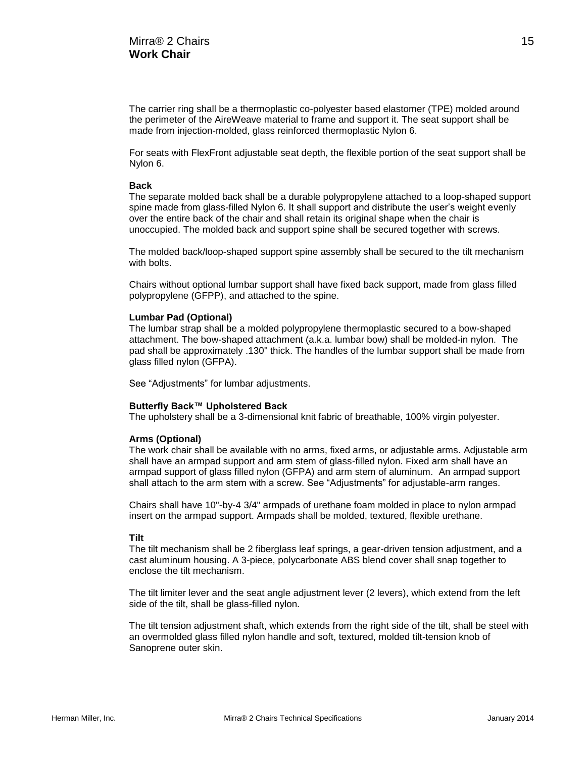The carrier ring shall be a thermoplastic co-polyester based elastomer (TPE) molded around the perimeter of the AireWeave material to frame and support it. The seat support shall be made from injection-molded, glass reinforced thermoplastic Nylon 6.

For seats with FlexFront adjustable seat depth, the flexible portion of the seat support shall be Nylon 6.

#### **Back**

The separate molded back shall be a durable polypropylene attached to a loop-shaped support spine made from glass-filled Nylon 6. It shall support and distribute the user's weight evenly over the entire back of the chair and shall retain its original shape when the chair is unoccupied. The molded back and support spine shall be secured together with screws.

The molded back/loop-shaped support spine assembly shall be secured to the tilt mechanism with bolts.

Chairs without optional lumbar support shall have fixed back support, made from glass filled polypropylene (GFPP), and attached to the spine.

#### **Lumbar Pad (Optional)**

The lumbar strap shall be a molded polypropylene thermoplastic secured to a bow-shaped attachment. The bow-shaped attachment (a.k.a. lumbar bow) shall be molded-in nylon. The pad shall be approximately .130" thick. The handles of the lumbar support shall be made from glass filled nylon (GFPA).

See "Adjustments" for lumbar adjustments.

#### **Butterfly Back™ Upholstered Back**

The upholstery shall be a 3-dimensional knit fabric of breathable, 100% virgin polyester.

#### **Arms (Optional)**

The work chair shall be available with no arms, fixed arms, or adjustable arms. Adjustable arm shall have an armpad support and arm stem of glass-filled nylon. Fixed arm shall have an armpad support of glass filled nylon (GFPA) and arm stem of aluminum. An armpad support shall attach to the arm stem with a screw. See "Adjustments" for adjustable-arm ranges.

Chairs shall have 10"-by-4 3/4" armpads of urethane foam molded in place to nylon armpad insert on the armpad support. Armpads shall be molded, textured, flexible urethane.

#### **Tilt**

The tilt mechanism shall be 2 fiberglass leaf springs, a gear-driven tension adjustment, and a cast aluminum housing. A 3-piece, polycarbonate ABS blend cover shall snap together to enclose the tilt mechanism.

The tilt limiter lever and the seat angle adjustment lever (2 levers), which extend from the left side of the tilt, shall be glass-filled nylon.

The tilt tension adjustment shaft, which extends from the right side of the tilt, shall be steel with an overmolded glass filled nylon handle and soft, textured, molded tilt-tension knob of Sanoprene outer skin.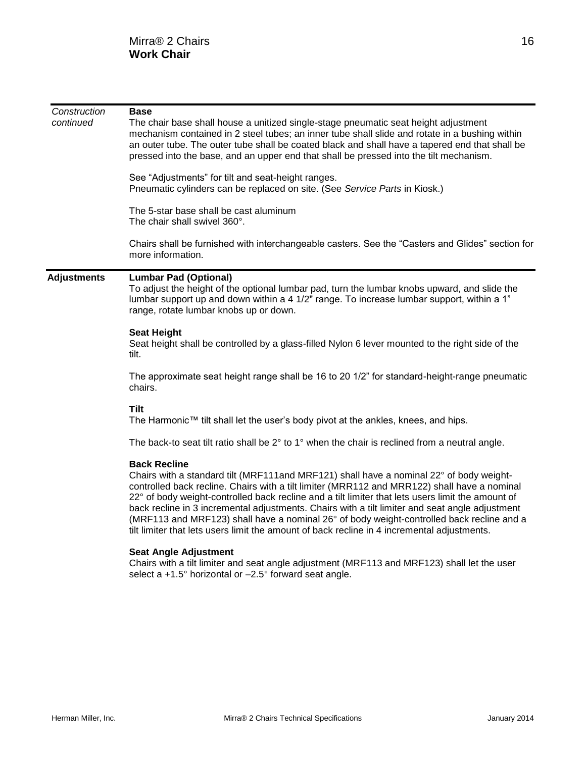| Construction<br>continued | <b>Base</b><br>The chair base shall house a unitized single-stage pneumatic seat height adjustment<br>mechanism contained in 2 steel tubes; an inner tube shall slide and rotate in a bushing within<br>an outer tube. The outer tube shall be coated black and shall have a tapered end that shall be<br>pressed into the base, and an upper end that shall be pressed into the tilt mechanism.                                                                                                                                                                                                                   |  |  |  |  |  |  |  |
|---------------------------|--------------------------------------------------------------------------------------------------------------------------------------------------------------------------------------------------------------------------------------------------------------------------------------------------------------------------------------------------------------------------------------------------------------------------------------------------------------------------------------------------------------------------------------------------------------------------------------------------------------------|--|--|--|--|--|--|--|
|                           | See "Adjustments" for tilt and seat-height ranges.<br>Pneumatic cylinders can be replaced on site. (See Service Parts in Kiosk.)                                                                                                                                                                                                                                                                                                                                                                                                                                                                                   |  |  |  |  |  |  |  |
|                           | The 5-star base shall be cast aluminum<br>The chair shall swivel 360°.                                                                                                                                                                                                                                                                                                                                                                                                                                                                                                                                             |  |  |  |  |  |  |  |
|                           | Chairs shall be furnished with interchangeable casters. See the "Casters and Glides" section for<br>more information.                                                                                                                                                                                                                                                                                                                                                                                                                                                                                              |  |  |  |  |  |  |  |
| <b>Adjustments</b>        | <b>Lumbar Pad (Optional)</b><br>To adjust the height of the optional lumbar pad, turn the lumbar knobs upward, and slide the<br>lumbar support up and down within a 4 1/2" range. To increase lumbar support, within a 1"<br>range, rotate lumbar knobs up or down.                                                                                                                                                                                                                                                                                                                                                |  |  |  |  |  |  |  |
|                           | <b>Seat Height</b><br>Seat height shall be controlled by a glass-filled Nylon 6 lever mounted to the right side of the<br>tilt.                                                                                                                                                                                                                                                                                                                                                                                                                                                                                    |  |  |  |  |  |  |  |
|                           | The approximate seat height range shall be 16 to 20 1/2" for standard-height-range pneumatic<br>chairs.                                                                                                                                                                                                                                                                                                                                                                                                                                                                                                            |  |  |  |  |  |  |  |
|                           | <b>Tilt</b><br>The Harmonic™ tilt shall let the user's body pivot at the ankles, knees, and hips.                                                                                                                                                                                                                                                                                                                                                                                                                                                                                                                  |  |  |  |  |  |  |  |
|                           | The back-to seat tilt ratio shall be 2° to 1° when the chair is reclined from a neutral angle.                                                                                                                                                                                                                                                                                                                                                                                                                                                                                                                     |  |  |  |  |  |  |  |
|                           | <b>Back Recline</b><br>Chairs with a standard tilt (MRF111and MRF121) shall have a nominal 22° of body weight-<br>controlled back recline. Chairs with a tilt limiter (MRR112 and MRR122) shall have a nominal<br>22° of body weight-controlled back recline and a tilt limiter that lets users limit the amount of<br>back recline in 3 incremental adjustments. Chairs with a tilt limiter and seat angle adjustment<br>(MRF113 and MRF123) shall have a nominal 26° of body weight-controlled back recline and a<br>tilt limiter that lets users limit the amount of back recline in 4 incremental adjustments. |  |  |  |  |  |  |  |
|                           | <b>Seat Angle Adjustment</b><br>والمستقط ومنازعا الماليات والمناوب المساريد والالتا<br>a satisfactor of the following the contract of the contract of the set of the set of the contract of the contract of the contract of the contract of the contract of the contract of the contract of the contract of the contr                                                                                                                                                                                                                                                                                              |  |  |  |  |  |  |  |

Chairs with a tilt limiter and seat angle adjustment (MRF113 and MRF123) shall let the user select a +1.5° horizontal or -2.5° forward seat angle.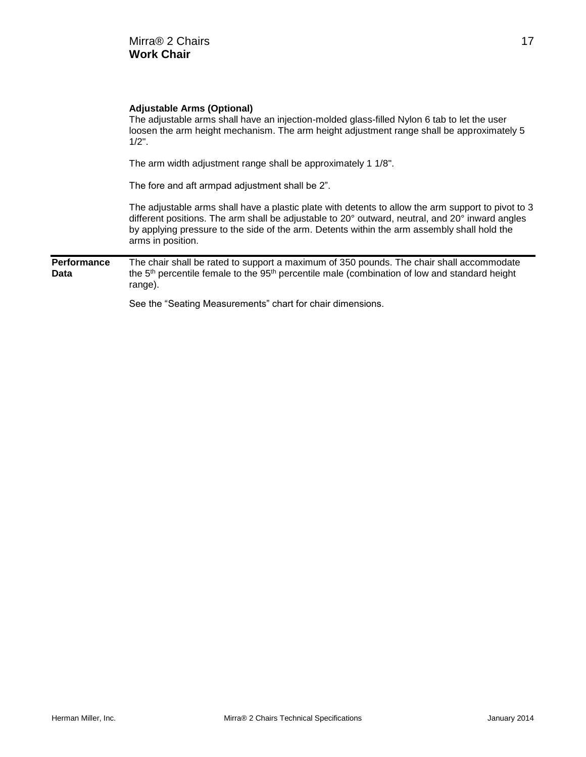|                            | <b>Adjustable Arms (Optional)</b><br>The adjustable arms shall have an injection-molded glass-filled Nylon 6 tab to let the user<br>loosen the arm height mechanism. The arm height adjustment range shall be approximately 5<br>$1/2"$ .                                                                                 |
|----------------------------|---------------------------------------------------------------------------------------------------------------------------------------------------------------------------------------------------------------------------------------------------------------------------------------------------------------------------|
|                            | The arm width adjustment range shall be approximately 1 1/8".                                                                                                                                                                                                                                                             |
|                            | The fore and aft armpad adjustment shall be 2".                                                                                                                                                                                                                                                                           |
|                            | The adjustable arms shall have a plastic plate with detents to allow the arm support to pivot to 3<br>different positions. The arm shall be adjustable to 20° outward, neutral, and 20° inward angles<br>by applying pressure to the side of the arm. Detents within the arm assembly shall hold the<br>arms in position. |
| <b>Performance</b><br>Data | The chair shall be rated to support a maximum of 350 pounds. The chair shall accommodate<br>the 5 <sup>th</sup> percentile female to the 95 <sup>th</sup> percentile male (combination of low and standard height<br>range).                                                                                              |
|                            | See the "Seating Measurements" chart for chair dimensions.                                                                                                                                                                                                                                                                |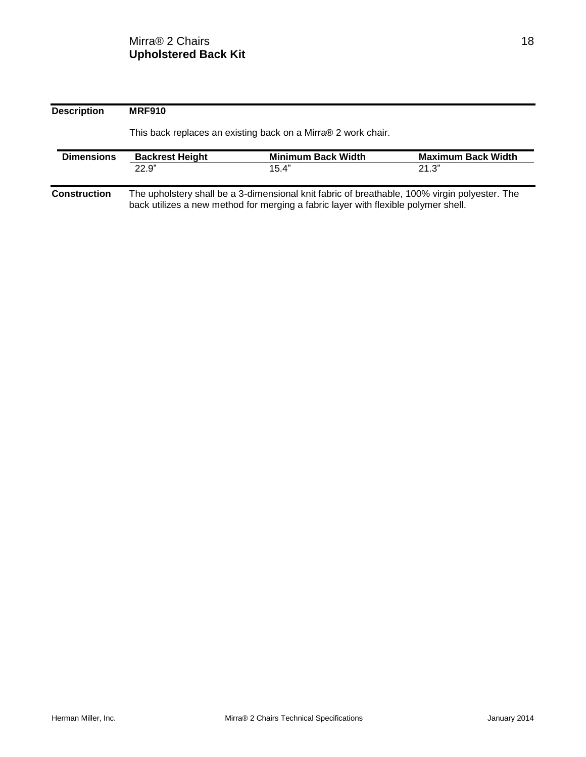**Description MRF910** This back replaces an existing back on a Mirra® 2 work chair. **Dimensions Backrest Height Minimum Back Width Maximum Back Width Maximum Back Width Maximum Back Width 15.4**" **21.3**"  $22.9"$  21.3" **Construction** The upholstery shall be a 3-dimensional knit fabric of breathable, 100% virgin polyester. The back utilizes a new method for merging a fabric layer with flexible polymer shell.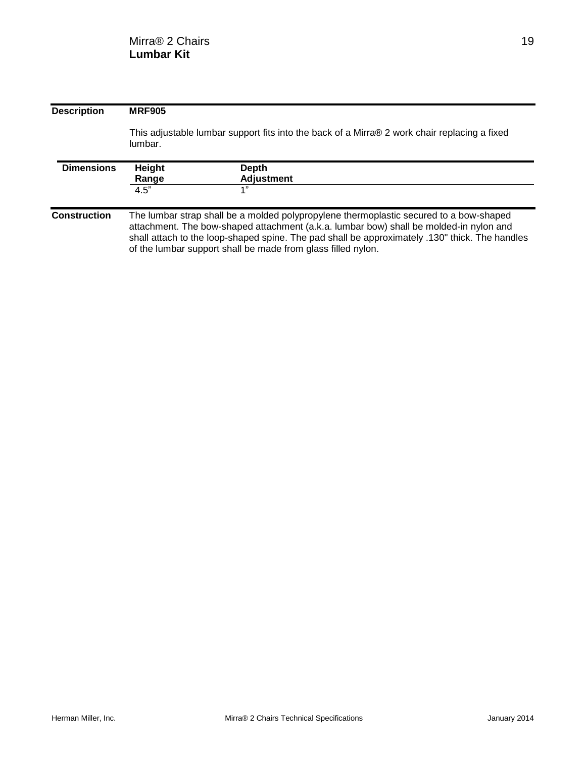| <b>Description</b>  | <b>MRF905</b>           |                                                                                                                                                                                                                                                                                                                                                    |  |  |  |  |  |  |
|---------------------|-------------------------|----------------------------------------------------------------------------------------------------------------------------------------------------------------------------------------------------------------------------------------------------------------------------------------------------------------------------------------------------|--|--|--|--|--|--|
|                     | lumbar.                 | This adjustable lumbar support fits into the back of a Mirra® 2 work chair replacing a fixed                                                                                                                                                                                                                                                       |  |  |  |  |  |  |
| <b>Dimensions</b>   | Height<br>Range<br>4.5" | <b>Depth</b><br><b>Adjustment</b><br>1"                                                                                                                                                                                                                                                                                                            |  |  |  |  |  |  |
| <b>Construction</b> |                         | The lumbar strap shall be a molded polypropylene thermoplastic secured to a bow-shaped<br>attachment. The bow-shaped attachment (a.k.a. lumbar bow) shall be molded-in nylon and<br>shall attach to the loop-shaped spine. The pad shall be approximately .130" thick. The handles<br>of the lumbar support shall be made from glass filled nylon. |  |  |  |  |  |  |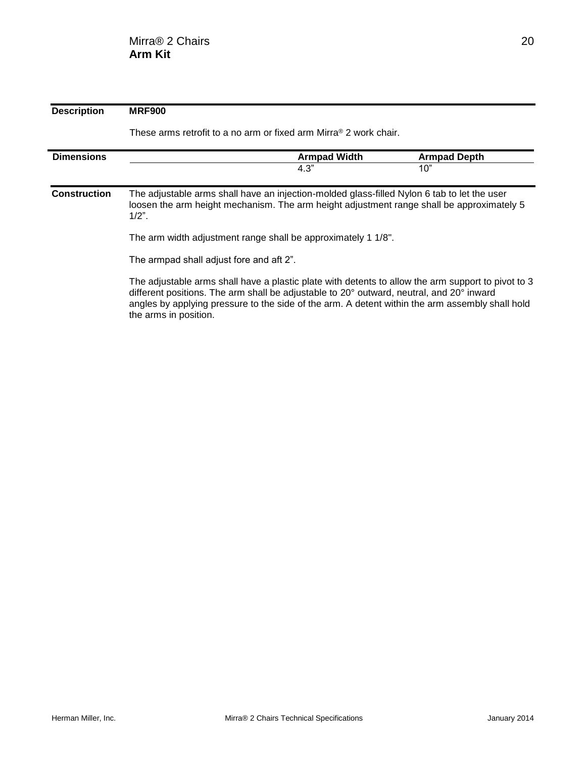| <b>Description</b>  | <b>MRF900</b>                                                                                                                                                                                                                                                                                                              |                     |                     |  |  |  |  |
|---------------------|----------------------------------------------------------------------------------------------------------------------------------------------------------------------------------------------------------------------------------------------------------------------------------------------------------------------------|---------------------|---------------------|--|--|--|--|
|                     | These arms retrofit to a no arm or fixed arm Mirra® 2 work chair.                                                                                                                                                                                                                                                          |                     |                     |  |  |  |  |
| <b>Dimensions</b>   |                                                                                                                                                                                                                                                                                                                            | <b>Armpad Width</b> | <b>Armpad Depth</b> |  |  |  |  |
|                     |                                                                                                                                                                                                                                                                                                                            | 4.3"                | 10"                 |  |  |  |  |
| <b>Construction</b> | The adjustable arms shall have an injection-molded glass-filled Nylon 6 tab to let the user<br>loosen the arm height mechanism. The arm height adjustment range shall be approximately 5<br>$1/2$ ".                                                                                                                       |                     |                     |  |  |  |  |
|                     | The arm width adjustment range shall be approximately 1 1/8".                                                                                                                                                                                                                                                              |                     |                     |  |  |  |  |
|                     | The armpad shall adjust fore and aft 2".                                                                                                                                                                                                                                                                                   |                     |                     |  |  |  |  |
|                     | The adjustable arms shall have a plastic plate with detents to allow the arm support to pivot to 3<br>different positions. The arm shall be adjustable to 20° outward, neutral, and 20° inward<br>angles by applying pressure to the side of the arm. A detent within the arm assembly shall hold<br>the arms in position. |                     |                     |  |  |  |  |